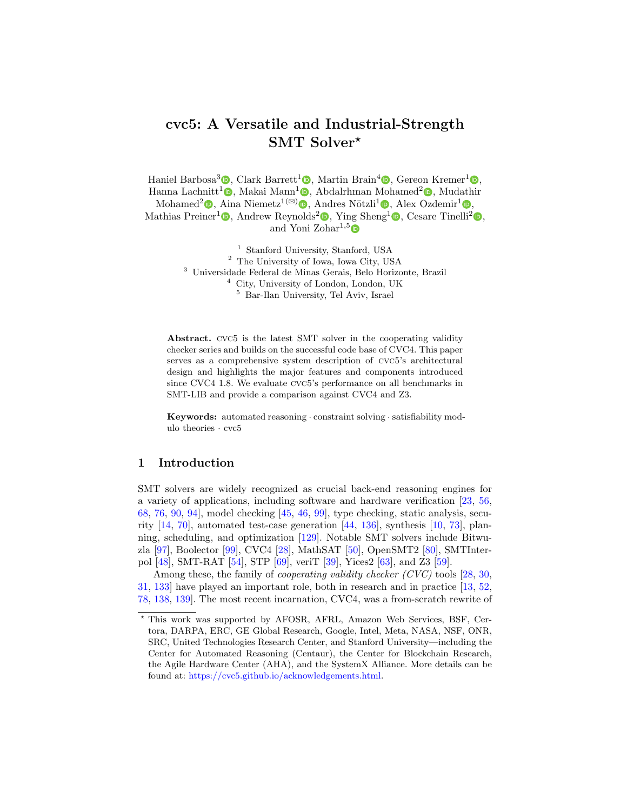# cvc5: A Versatile and Industrial-Strength SMT Solver\*

Haniel Barbosa<sup>3</sup><sup>®</sup>[,](http://orcid.org/0000-0002-0393-5739) Clark Barrett<sup>1</sup><sup>®</sup>, Martin Brain<sup>4</sup><sup>®</sup>, Gereon Kremer<sup>1</sup><sup>®</sup>, Hanna Lachnitt<sup>1</sup> (b)[,](http://orcid.org/0000-0003-1414-7073) Makai Mann<sup>1</sup> (b), Abdalrhman Mohamed<sup>2</sup> (b), Mudathir Mohamed<sup>2</sup> $\bullet$ [,](http://orcid.org/0000-0002-0181-6752) Aina Niemetz<sup>1( $\otimes$ )</sup> $\bullet$ , Andres Nötzli<sup>1</sup> $\bullet$ , Alex Ozdemir<sup>1</sup> $\bullet$ , Mathias Preiner<sup>1</sup><sup>®</sup>[,](http://orcid.org/0000-0002-6726-775X) Andrew Reynolds<sup>2</sup><sup>®</sup>, Ying Sheng<sup>1</sup><sup>®</sup>, Cesare Tinelli<sup>2</sup><sup>®</sup>, and Yoni Zohar<sup>1,5</sup> $\bullet$ 

> <sup>1</sup> Stanford University, Stanford, USA The University of Iowa, Iowa City, USA Universidade Federal de Minas Gerais, Belo Horizonte, Brazil City, University of London, London, UK Bar-Ilan University, Tel Aviv, Israel

Abstract. cvc5 is the latest SMT solver in the cooperating validity checker series and builds on the successful code base of CVC4. This paper serves as a comprehensive system description of cvc5's architectural design and highlights the major features and components introduced since CVC4 1.8. We evaluate cvc5's performance on all benchmarks in SMT-LIB and provide a comparison against CVC4 and Z3.

Keywords: automated reasoning · constraint solving · satisfiability modulo theories · cvc5

## 1 Introduction

SMT solvers are widely recognized as crucial back-end reasoning engines for a variety of applications, including software and hardware verification [\[23,](#page-18-0) [56,](#page-21-0) [68,](#page-23-0) [76,](#page-23-1) [90,](#page-25-0) [94\]](#page-25-1), model checking [\[45,](#page-20-0) [46,](#page-20-1) [99\]](#page-26-0), type checking, static analysis, security [\[14,](#page-17-0) [70\]](#page-23-2), automated test-case generation [\[44,](#page-20-2) [136\]](#page-30-0), synthesis [\[10,](#page-16-0) [73\]](#page-23-3), planning, scheduling, and optimization [\[129\]](#page-29-0). Notable SMT solvers include Bitwuzla [\[97\]](#page-25-2), Boolector [\[99\]](#page-26-0), CVC4 [\[28\]](#page-18-1), MathSAT [\[50\]](#page-21-1), OpenSMT2 [\[80\]](#page-24-0), SMTInterpol [\[48\]](#page-21-2), SMT-RAT [\[54\]](#page-21-3), STP [\[69\]](#page-23-4), veriT [\[39\]](#page-19-0), Yices2 [\[63\]](#page-22-0), and Z3 [\[59\]](#page-22-1).

Among these, the family of *cooperating validity checker (CVC)* tools [\[28,](#page-18-1) [30,](#page-18-2) [31,](#page-18-3) [133\]](#page-30-1) have played an important role, both in research and in practice [\[13,](#page-17-1) [52,](#page-21-4) [78,](#page-24-1) [138,](#page-30-2) [139\]](#page-30-3). The most recent incarnation, CVC4, was a from-scratch rewrite of

<sup>?</sup> This work was supported by AFOSR, AFRL, Amazon Web Services, BSF, Certora, DARPA, ERC, GE Global Research, Google, Intel, Meta, NASA, NSF, ONR, SRC, United Technologies Research Center, and Stanford University—including the Center for Automated Reasoning (Centaur), the Center for Blockchain Research, the Agile Hardware Center (AHA), and the SystemX Alliance. More details can be found at: [https://cvc5.github.io/acknowledgements.html.](https://cvc5.github.io/acknowledgements.html)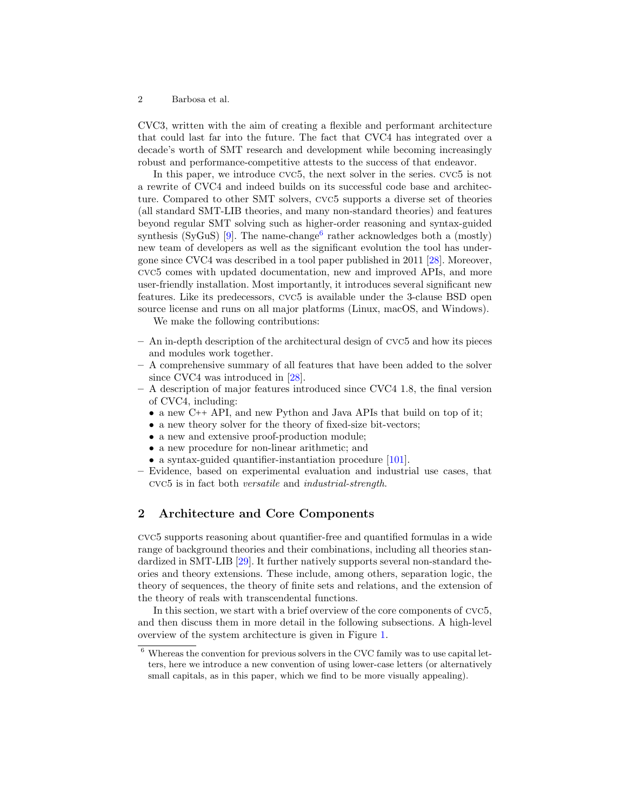CVC3, written with the aim of creating a flexible and performant architecture that could last far into the future. The fact that CVC4 has integrated over a decade's worth of SMT research and development while becoming increasingly robust and performance-competitive attests to the success of that endeavor.

In this paper, we introduce cvc5, the next solver in the series. cvc5 is not a rewrite of CVC4 and indeed builds on its successful code base and architecture. Compared to other SMT solvers, cvc5 supports a diverse set of theories (all standard SMT-LIB theories, and many non-standard theories) and features beyond regular SMT solving such as higher-order reasoning and syntax-guided synthesis (SyGuS) [\[9\]](#page-16-1). The name-change<sup>[6](#page-1-0)</sup> rather acknowledges both a (mostly) new team of developers as well as the significant evolution the tool has undergone since CVC4 was described in a tool paper published in 2011 [\[28\]](#page-18-1). Moreover, cvc5 comes with updated documentation, new and improved APIs, and more user-friendly installation. Most importantly, it introduces several significant new features. Like its predecessors, cvc5 is available under the 3-clause BSD open source license and runs on all major platforms (Linux, macOS, and Windows).

We make the following contributions:

- An in-depth description of the architectural design of cvc5 and how its pieces and modules work together.
- A comprehensive summary of all features that have been added to the solver since CVC4 was introduced in [\[28\]](#page-18-1).
- A description of major features introduced since CVC4 1.8, the final version of CVC4, including:
	- a new C++ API, and new Python and Java APIs that build on top of it;
	- a new theory solver for the theory of fixed-size bit-vectors:
	- a new and extensive proof-production module;
	- a new procedure for non-linear arithmetic; and
	- a syntax-guided quantifier-instantiation procedure [\[101\]](#page-26-1).
- Evidence, based on experimental evaluation and industrial use cases, that cvc5 is in fact both versatile and industrial-strength.

## <span id="page-1-1"></span>2 Architecture and Core Components

cvc5 supports reasoning about quantifier-free and quantified formulas in a wide range of background theories and their combinations, including all theories standardized in SMT-LIB [\[29\]](#page-18-4). It further natively supports several non-standard theories and theory extensions. These include, among others, separation logic, the theory of sequences, the theory of finite sets and relations, and the extension of the theory of reals with transcendental functions.

In this section, we start with a brief overview of the core components of cvc5, and then discuss them in more detail in the following subsections. A high-level overview of the system architecture is given in Figure [1.](#page-2-0)

<span id="page-1-0"></span> $6\,$  Whereas the convention for previous solvers in the CVC family was to use capital letters, here we introduce a new convention of using lower-case letters (or alternatively small capitals, as in this paper, which we find to be more visually appealing).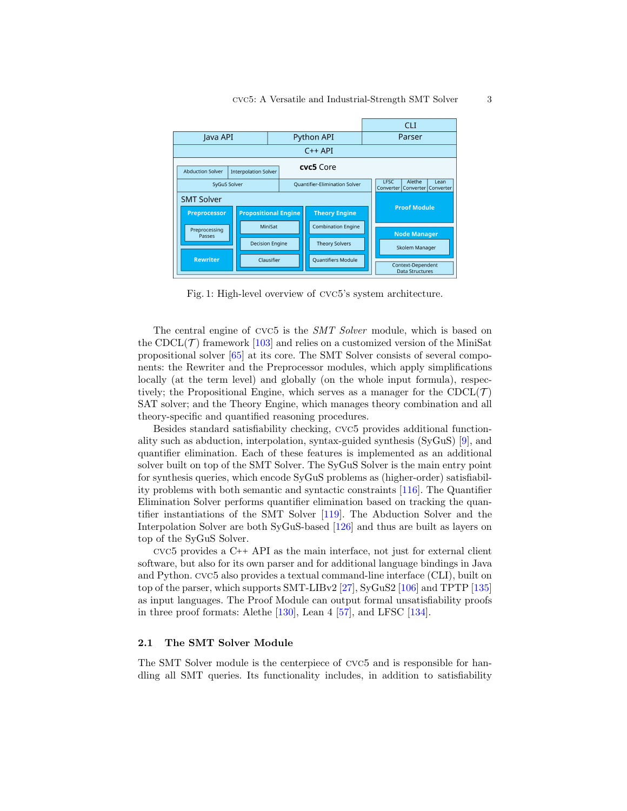<span id="page-2-0"></span>

Fig. 1: High-level overview of cvc5's system architecture.

The central engine of cvc5 is the SMT Solver module, which is based on the CDCL( $\mathcal{T}$ ) framework [\[103\]](#page-26-2) and relies on a customized version of the MiniSat propositional solver [\[65\]](#page-22-2) at its core. The SMT Solver consists of several components: the Rewriter and the Preprocessor modules, which apply simplifications locally (at the term level) and globally (on the whole input formula), respectively; the Propositional Engine, which serves as a manager for the  $CDCL(\mathcal{T})$ SAT solver; and the Theory Engine, which manages theory combination and all theory-specific and quantified reasoning procedures.

Besides standard satisfiability checking, cvc5 provides additional functionality such as abduction, interpolation, syntax-guided synthesis (SyGuS) [\[9\]](#page-16-1), and quantifier elimination. Each of these features is implemented as an additional solver built on top of the SMT Solver. The SyGuS Solver is the main entry point for synthesis queries, which encode SyGuS problems as (higher-order) satisfiability problems with both semantic and syntactic constraints [\[116\]](#page-27-0). The Quantifier Elimination Solver performs quantifier elimination based on tracking the quantifier instantiations of the SMT Solver [\[119\]](#page-28-0). The Abduction Solver and the Interpolation Solver are both SyGuS-based [\[126\]](#page-29-1) and thus are built as layers on top of the SyGuS Solver.

 $\rm{cyc5}$  provides a  $\rm{C++}$  API as the main interface, not just for external client software, but also for its own parser and for additional language bindings in Java and Python. cvc5 also provides a textual command-line interface (CLI), built on top of the parser, which supports SMT-LIBv2 [\[27\]](#page-18-5), SyGuS2 [\[106\]](#page-26-3) and TPTP [\[135\]](#page-30-4) as input languages. The Proof Module can output formal unsatisfiability proofs in three proof formats: Alethe [\[130\]](#page-29-2), Lean 4 [\[57\]](#page-22-3), and LFSC [\[134\]](#page-30-5).

#### 2.1 The SMT Solver Module

The SMT Solver module is the centerpiece of cvc5 and is responsible for handling all SMT queries. Its functionality includes, in addition to satisfiability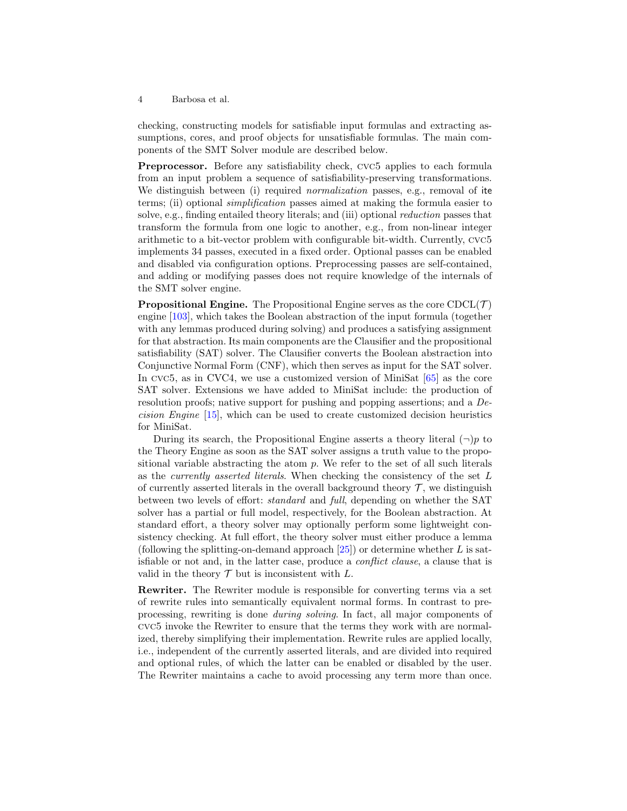checking, constructing models for satisfiable input formulas and extracting assumptions, cores, and proof objects for unsatisfiable formulas. The main components of the SMT Solver module are described below.

Preprocessor. Before any satisfiability check, cvc5 applies to each formula from an input problem a sequence of satisfiability-preserving transformations. We distinguish between (i) required normalization passes, e.g., removal of ite terms; (ii) optional simplification passes aimed at making the formula easier to solve, e.g., finding entailed theory literals; and (iii) optional reduction passes that transform the formula from one logic to another, e.g., from non-linear integer arithmetic to a bit-vector problem with configurable bit-width. Currently, cvc5 implements 34 passes, executed in a fixed order. Optional passes can be enabled and disabled via configuration options. Preprocessing passes are self-contained, and adding or modifying passes does not require knowledge of the internals of the SMT solver engine.

**Propositional Engine.** The Propositional Engine serves as the core  $CDCL(\mathcal{T})$ engine [\[103\]](#page-26-2), which takes the Boolean abstraction of the input formula (together with any lemmas produced during solving) and produces a satisfying assignment for that abstraction. Its main components are the Clausifier and the propositional satisfiability (SAT) solver. The Clausifier converts the Boolean abstraction into Conjunctive Normal Form (CNF), which then serves as input for the SAT solver. In cvc5, as in CVC4, we use a customized version of MiniSat [\[65\]](#page-22-2) as the core SAT solver. Extensions we have added to MiniSat include: the production of resolution proofs; native support for pushing and popping assertions; and a Decision Engine [\[15\]](#page-17-2), which can be used to create customized decision heuristics for MiniSat.

During its search, the Propositional Engine asserts a theory literal  $(\neg)p$  to the Theory Engine as soon as the SAT solver assigns a truth value to the propositional variable abstracting the atom  $p$ . We refer to the set of all such literals as the currently asserted literals. When checking the consistency of the set L of currently asserted literals in the overall background theory  $\mathcal{T}$ , we distinguish between two levels of effort: standard and full, depending on whether the SAT solver has a partial or full model, respectively, for the Boolean abstraction. At standard effort, a theory solver may optionally perform some lightweight consistency checking. At full effort, the theory solver must either produce a lemma (following the splitting-on-demand approach  $[25]$ ) or determine whether L is satisfiable or not and, in the latter case, produce a conflict clause, a clause that is valid in the theory  $\mathcal T$  but is inconsistent with  $L$ .

Rewriter. The Rewriter module is responsible for converting terms via a set of rewrite rules into semantically equivalent normal forms. In contrast to preprocessing, rewriting is done during solving. In fact, all major components of cvc5 invoke the Rewriter to ensure that the terms they work with are normalized, thereby simplifying their implementation. Rewrite rules are applied locally, i.e., independent of the currently asserted literals, and are divided into required and optional rules, of which the latter can be enabled or disabled by the user. The Rewriter maintains a cache to avoid processing any term more than once.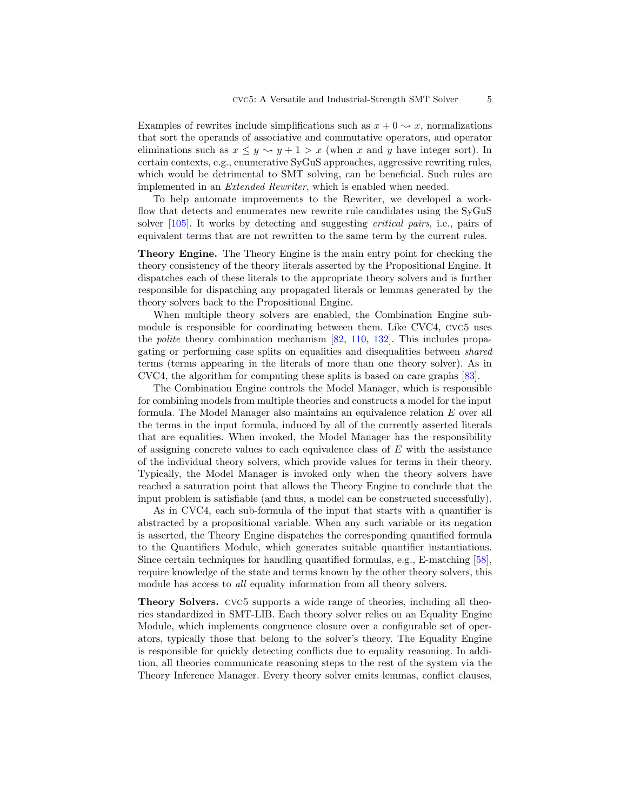Examples of rewrites include simplifications such as  $x + 0 \rightarrow x$ , normalizations that sort the operands of associative and commutative operators, and operator eliminations such as  $x \leq y \leadsto y + 1 > x$  (when x and y have integer sort). In certain contexts, e.g., enumerative SyGuS approaches, aggressive rewriting rules, which would be detrimental to SMT solving, can be beneficial. Such rules are implemented in an Extended Rewriter, which is enabled when needed.

To help automate improvements to the Rewriter, we developed a workflow that detects and enumerates new rewrite rule candidates using the SyGuS solver [\[105\]](#page-26-4). It works by detecting and suggesting critical pairs, i.e., pairs of equivalent terms that are not rewritten to the same term by the current rules.

Theory Engine. The Theory Engine is the main entry point for checking the theory consistency of the theory literals asserted by the Propositional Engine. It dispatches each of these literals to the appropriate theory solvers and is further responsible for dispatching any propagated literals or lemmas generated by the theory solvers back to the Propositional Engine.

When multiple theory solvers are enabled, the Combination Engine submodule is responsible for coordinating between them. Like CVC4, cvc5 uses the polite theory combination mechanism [\[82,](#page-24-2) [110,](#page-27-1) [132\]](#page-29-3). This includes propagating or performing case splits on equalities and disequalities between shared terms (terms appearing in the literals of more than one theory solver). As in CVC4, the algorithm for computing these splits is based on care graphs [\[83\]](#page-24-3).

The Combination Engine controls the Model Manager, which is responsible for combining models from multiple theories and constructs a model for the input formula. The Model Manager also maintains an equivalence relation E over all the terms in the input formula, induced by all of the currently asserted literals that are equalities. When invoked, the Model Manager has the responsibility of assigning concrete values to each equivalence class of  $E$  with the assistance of the individual theory solvers, which provide values for terms in their theory. Typically, the Model Manager is invoked only when the theory solvers have reached a saturation point that allows the Theory Engine to conclude that the input problem is satisfiable (and thus, a model can be constructed successfully).

As in CVC4, each sub-formula of the input that starts with a quantifier is abstracted by a propositional variable. When any such variable or its negation is asserted, the Theory Engine dispatches the corresponding quantified formula to the Quantifiers Module, which generates suitable quantifier instantiations. Since certain techniques for handling quantified formulas, e.g., E-matching [\[58\]](#page-22-4), require knowledge of the state and terms known by the other theory solvers, this module has access to *all* equality information from all theory solvers.

Theory Solvers. cvc5 supports a wide range of theories, including all theories standardized in SMT-LIB. Each theory solver relies on an Equality Engine Module, which implements congruence closure over a configurable set of operators, typically those that belong to the solver's theory. The Equality Engine is responsible for quickly detecting conflicts due to equality reasoning. In addition, all theories communicate reasoning steps to the rest of the system via the Theory Inference Manager. Every theory solver emits lemmas, conflict clauses,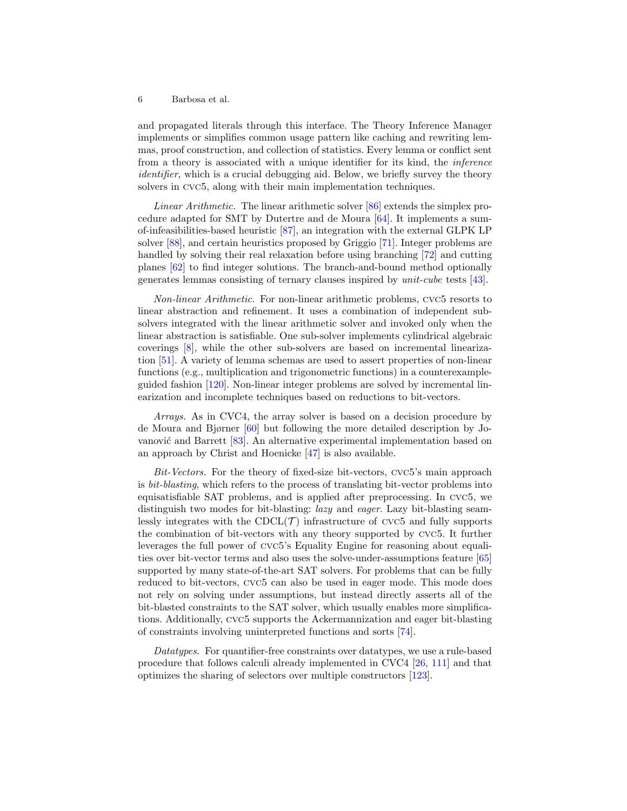and propagated literals through this interface. The Theory Inference Manager implements or simplifies common usage pattern like caching and rewriting lemmas, proof construction, and collection of statistics. Every lemma or conflict sent from a theory is associated with a unique identifier for its kind, the inference identifier, which is a crucial debugging aid. Below, we briefly survey the theory solvers in cvc5, along with their main implementation techniques.

Linear Arithmetic. The linear arithmetic solver [\[86\]](#page-24-4) extends the simplex procedure adapted for SMT by Dutertre and de Moura [\[64\]](#page-22-5). It implements a sumof-infeasibilities-based heuristic [\[87\]](#page-24-5), an integration with the external GLPK LP solver [\[88\]](#page-24-6), and certain heuristics proposed by Griggio [\[71\]](#page-23-5). Integer problems are handled by solving their real relaxation before using branching [\[72\]](#page-23-6) and cutting planes [\[62\]](#page-22-6) to find integer solutions. The branch-and-bound method optionally generates lemmas consisting of ternary clauses inspired by unit-cube tests [\[43\]](#page-20-3).

Non-linear Arithmetic. For non-linear arithmetic problems, cvc5 resorts to linear abstraction and refinement. It uses a combination of independent subsolvers integrated with the linear arithmetic solver and invoked only when the linear abstraction is satisfiable. One sub-solver implements cylindrical algebraic coverings [\[8\]](#page-16-2), while the other sub-solvers are based on incremental linearization [\[51\]](#page-21-5). A variety of lemma schemas are used to assert properties of non-linear functions (e.g., multiplication and trigonometric functions) in a counterexampleguided fashion [\[120\]](#page-28-1). Non-linear integer problems are solved by incremental linearization and incomplete techniques based on reductions to bit-vectors.

Arrays. As in CVC4, the array solver is based on a decision procedure by de Moura and Bjørner [\[60\]](#page-22-7) but following the more detailed description by Jo-vanović and Barrett [\[83\]](#page-24-3). An alternative experimental implementation based on an approach by Christ and Hoenicke [\[47\]](#page-20-4) is also available.

Bit-Vectors. For the theory of fixed-size bit-vectors, cvc5's main approach is bit-blasting, which refers to the process of translating bit-vector problems into equisatisfiable SAT problems, and is applied after preprocessing. In cvc5, we distinguish two modes for bit-blasting: *lazy* and *eager*. Lazy bit-blasting seamlessly integrates with the  $CDCL(\mathcal{T})$  infrastructure of CVC5 and fully supports the combination of bit-vectors with any theory supported by cvc5. It further leverages the full power of cvc5's Equality Engine for reasoning about equalities over bit-vector terms and also uses the solve-under-assumptions feature [\[65\]](#page-22-2) supported by many state-of-the-art SAT solvers. For problems that can be fully reduced to bit-vectors, cvc5 can also be used in eager mode. This mode does not rely on solving under assumptions, but instead directly asserts all of the bit-blasted constraints to the SAT solver, which usually enables more simplifications. Additionally, cvc5 supports the Ackermannization and eager bit-blasting of constraints involving uninterpreted functions and sorts [\[74\]](#page-23-7).

Datatypes. For quantifier-free constraints over datatypes, we use a rule-based procedure that follows calculi already implemented in CVC4 [\[26,](#page-18-7) [111\]](#page-27-2) and that optimizes the sharing of selectors over multiple constructors [\[123\]](#page-28-2).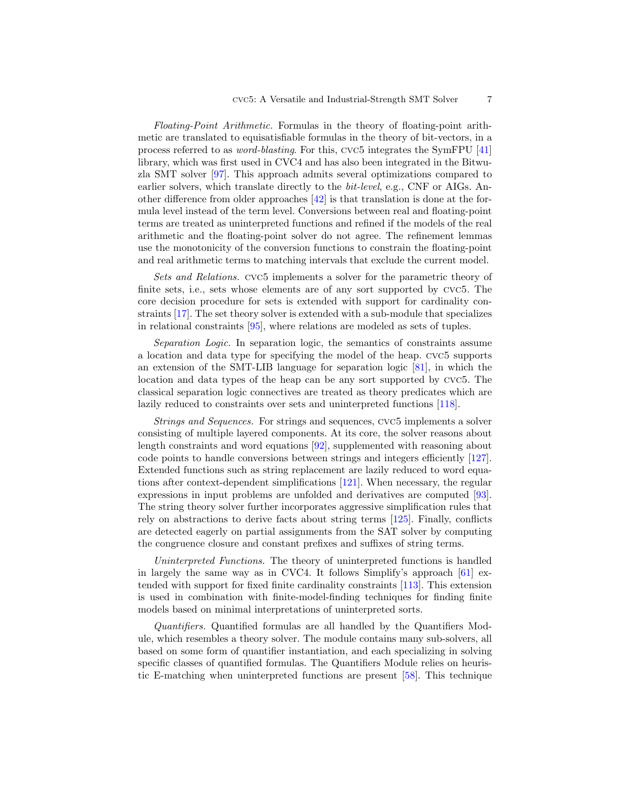Floating-Point Arithmetic. Formulas in the theory of floating-point arithmetic are translated to equisatisfiable formulas in the theory of bit-vectors, in a process referred to as word-blasting. For this, cvc5 integrates the SymFPU [\[41\]](#page-20-5) library, which was first used in CVC4 and has also been integrated in the Bitwuzla SMT solver [\[97\]](#page-25-2). This approach admits several optimizations compared to earlier solvers, which translate directly to the *bit-level*, e.g., CNF or AIGs. Another difference from older approaches [\[42\]](#page-20-6) is that translation is done at the formula level instead of the term level. Conversions between real and floating-point terms are treated as uninterpreted functions and refined if the models of the real arithmetic and the floating-point solver do not agree. The refinement lemmas use the monotonicity of the conversion functions to constrain the floating-point and real arithmetic terms to matching intervals that exclude the current model.

Sets and Relations. cvc5 implements a solver for the parametric theory of finite sets, i.e., sets whose elements are of any sort supported by cvc5. The core decision procedure for sets is extended with support for cardinality constraints [\[17\]](#page-17-3). The set theory solver is extended with a sub-module that specializes in relational constraints [\[95\]](#page-25-3), where relations are modeled as sets of tuples.

Separation Logic. In separation logic, the semantics of constraints assume a location and data type for specifying the model of the heap. cvc5 supports an extension of the SMT-LIB language for separation logic [\[81\]](#page-24-7), in which the location and data types of the heap can be any sort supported by cvc5. The classical separation logic connectives are treated as theory predicates which are lazily reduced to constraints over sets and uninterpreted functions [\[118\]](#page-28-3).

Strings and Sequences. For strings and sequences, cvc5 implements a solver consisting of multiple layered components. At its core, the solver reasons about length constraints and word equations [\[92\]](#page-25-4), supplemented with reasoning about code points to handle conversions between strings and integers efficiently [\[127\]](#page-29-4). Extended functions such as string replacement are lazily reduced to word equations after context-dependent simplifications [\[121\]](#page-28-4). When necessary, the regular expressions in input problems are unfolded and derivatives are computed [\[93\]](#page-25-5). The string theory solver further incorporates aggressive simplification rules that rely on abstractions to derive facts about string terms [\[125\]](#page-29-5). Finally, conflicts are detected eagerly on partial assignments from the SAT solver by computing the congruence closure and constant prefixes and suffixes of string terms.

Uninterpreted Functions. The theory of uninterpreted functions is handled in largely the same way as in CVC4. It follows Simplify's approach  $[61]$  extended with support for fixed finite cardinality constraints [\[113\]](#page-27-3). This extension is used in combination with finite-model-finding techniques for finding finite models based on minimal interpretations of uninterpreted sorts.

Quantifiers. Quantified formulas are all handled by the Quantifiers Module, which resembles a theory solver. The module contains many sub-solvers, all based on some form of quantifier instantiation, and each specializing in solving specific classes of quantified formulas. The Quantifiers Module relies on heuristic E-matching when uninterpreted functions are present [\[58\]](#page-22-4). This technique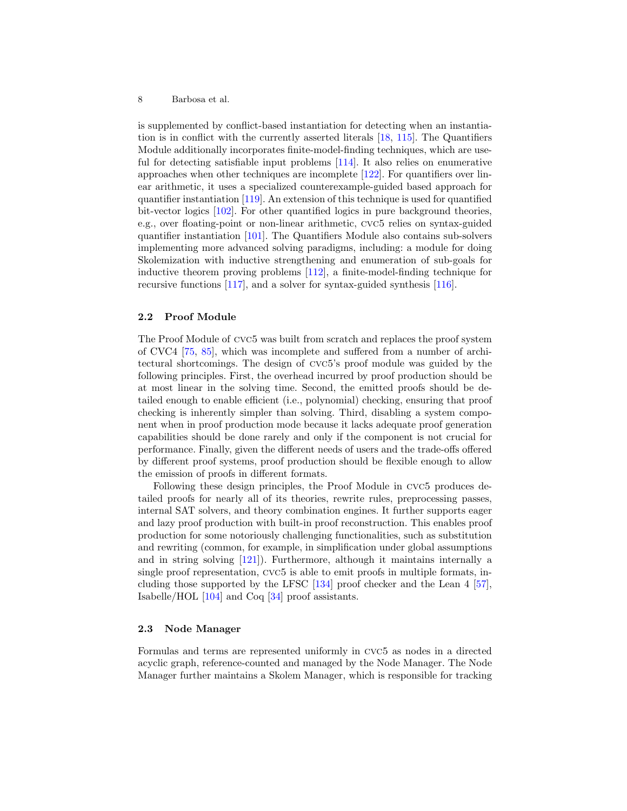is supplemented by conflict-based instantiation for detecting when an instantiation is in conflict with the currently asserted literals [\[18,](#page-17-4) [115\]](#page-27-4). The Quantifiers Module additionally incorporates finite-model-finding techniques, which are useful for detecting satisfiable input problems [\[114\]](#page-27-5). It also relies on enumerative approaches when other techniques are incomplete [\[122\]](#page-28-5). For quantifiers over linear arithmetic, it uses a specialized counterexample-guided based approach for quantifier instantiation [\[119\]](#page-28-0). An extension of this technique is used for quantified bit-vector logics [\[102\]](#page-26-5). For other quantified logics in pure background theories, e.g., over floating-point or non-linear arithmetic, cvc5 relies on syntax-guided quantifier instantiation [\[101\]](#page-26-1). The Quantifiers Module also contains sub-solvers implementing more advanced solving paradigms, including: a module for doing Skolemization with inductive strengthening and enumeration of sub-goals for inductive theorem proving problems [\[112\]](#page-27-6), a finite-model-finding technique for recursive functions [\[117\]](#page-28-6), and a solver for syntax-guided synthesis [\[116\]](#page-27-0).

#### 2.2 Proof Module

The Proof Module of cvc5 was built from scratch and replaces the proof system of CVC4 [\[75,](#page-23-8) [85\]](#page-24-8), which was incomplete and suffered from a number of architectural shortcomings. The design of cvc5's proof module was guided by the following principles. First, the overhead incurred by proof production should be at most linear in the solving time. Second, the emitted proofs should be detailed enough to enable efficient (i.e., polynomial) checking, ensuring that proof checking is inherently simpler than solving. Third, disabling a system component when in proof production mode because it lacks adequate proof generation capabilities should be done rarely and only if the component is not crucial for performance. Finally, given the different needs of users and the trade-offs offered by different proof systems, proof production should be flexible enough to allow the emission of proofs in different formats.

Following these design principles, the Proof Module in cvc5 produces detailed proofs for nearly all of its theories, rewrite rules, preprocessing passes, internal SAT solvers, and theory combination engines. It further supports eager and lazy proof production with built-in proof reconstruction. This enables proof production for some notoriously challenging functionalities, such as substitution and rewriting (common, for example, in simplification under global assumptions and in string solving [\[121\]](#page-28-4)). Furthermore, although it maintains internally a single proof representation, cvc5 is able to emit proofs in multiple formats, including those supported by the LFSC [\[134\]](#page-30-5) proof checker and the Lean 4 [\[57\]](#page-22-3), Isabelle/HOL [\[104\]](#page-26-6) and Coq [\[34\]](#page-19-1) proof assistants.

#### 2.3 Node Manager

Formulas and terms are represented uniformly in cvc5 as nodes in a directed acyclic graph, reference-counted and managed by the Node Manager. The Node Manager further maintains a Skolem Manager, which is responsible for tracking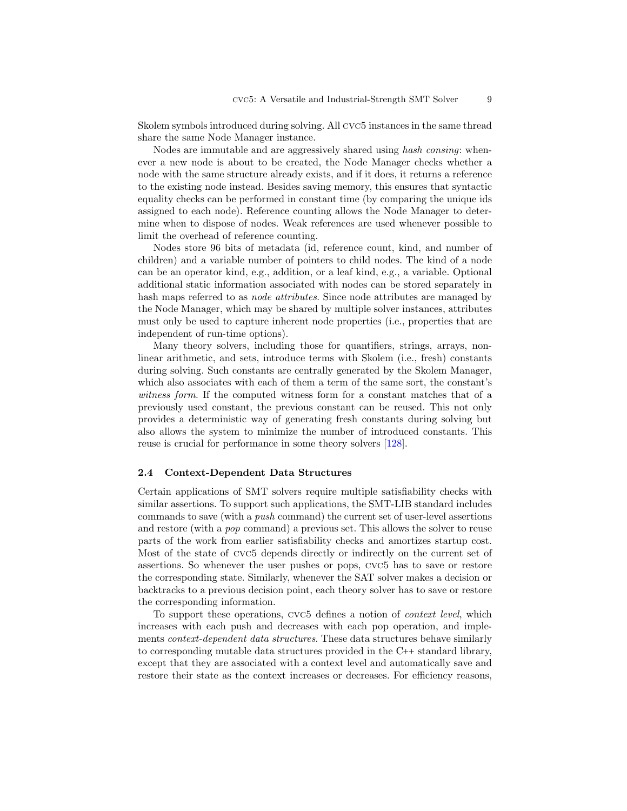Skolem symbols introduced during solving. All cvc5 instances in the same thread share the same Node Manager instance.

Nodes are immutable and are aggressively shared using hash consing: whenever a new node is about to be created, the Node Manager checks whether a node with the same structure already exists, and if it does, it returns a reference to the existing node instead. Besides saving memory, this ensures that syntactic equality checks can be performed in constant time (by comparing the unique ids assigned to each node). Reference counting allows the Node Manager to determine when to dispose of nodes. Weak references are used whenever possible to limit the overhead of reference counting.

Nodes store 96 bits of metadata (id, reference count, kind, and number of children) and a variable number of pointers to child nodes. The kind of a node can be an operator kind, e.g., addition, or a leaf kind, e.g., a variable. Optional additional static information associated with nodes can be stored separately in hash maps referred to as *node attributes*. Since node attributes are managed by the Node Manager, which may be shared by multiple solver instances, attributes must only be used to capture inherent node properties (i.e., properties that are independent of run-time options).

Many theory solvers, including those for quantifiers, strings, arrays, nonlinear arithmetic, and sets, introduce terms with Skolem (i.e., fresh) constants during solving. Such constants are centrally generated by the Skolem Manager, which also associates with each of them a term of the same sort, the constant's witness form. If the computed witness form for a constant matches that of a previously used constant, the previous constant can be reused. This not only provides a deterministic way of generating fresh constants during solving but also allows the system to minimize the number of introduced constants. This reuse is crucial for performance in some theory solvers [\[128\]](#page-29-6).

#### 2.4 Context-Dependent Data Structures

Certain applications of SMT solvers require multiple satisfiability checks with similar assertions. To support such applications, the SMT-LIB standard includes commands to save (with a push command) the current set of user-level assertions and restore (with a pop command) a previous set. This allows the solver to reuse parts of the work from earlier satisfiability checks and amortizes startup cost. Most of the state of cvc5 depends directly or indirectly on the current set of assertions. So whenever the user pushes or pops, cvc5 has to save or restore the corresponding state. Similarly, whenever the SAT solver makes a decision or backtracks to a previous decision point, each theory solver has to save or restore the corresponding information.

To support these operations, cvc5 defines a notion of context level, which increases with each push and decreases with each pop operation, and implements context-dependent data structures. These data structures behave similarly to corresponding mutable data structures provided in the C++ standard library, except that they are associated with a context level and automatically save and restore their state as the context increases or decreases. For efficiency reasons,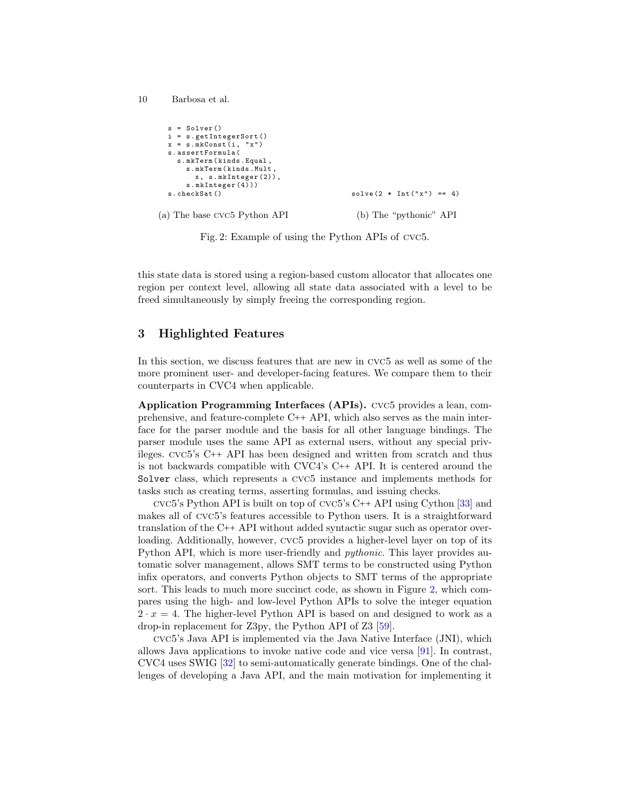```
10 Barbosa et al.
  s =Solver()
  i = s. getIntegerSort ()
  x = s \cdot m k \cdot \text{Const}(i, "x")s. assertFormula (
     s. mkTerm ( kinds . Equal ,
       s. mkTerm ( kinds . Mult ,
         x , s. mkInteger (2)) ,
       s. mkInteger (4)))
  s. checkSat ()
(a) The base cvc5 Python API
                                                  solve(2 * Int("x") == 4)(b) The "pythonic" API
```
Fig. 2: Example of using the Python APIs of cvc5.

this state data is stored using a region-based custom allocator that allocates one region per context level, allowing all state data associated with a level to be freed simultaneously by simply freeing the corresponding region.

## 3 Highlighted Features

In this section, we discuss features that are new in cvc5 as well as some of the more prominent user- and developer-facing features. We compare them to their counterparts in CVC4 when applicable.

Application Programming Interfaces (APIs). cvc5 provides a lean, comprehensive, and feature-complete C++ API, which also serves as the main interface for the parser module and the basis for all other language bindings. The parser module uses the same API as external users, without any special privileges. cvc5's C++ API has been designed and written from scratch and thus is not backwards compatible with CVC4's C++ API. It is centered around the Solver class, which represents a cvc5 instance and implements methods for tasks such as creating terms, asserting formulas, and issuing checks.

cvc5's Python API is built on top of cvc5's C++ API using Cython [\[33\]](#page-19-2) and makes all of cvc5's features accessible to Python users. It is a straightforward translation of the C++ API without added syntactic sugar such as operator overloading. Additionally, however, cvc5 provides a higher-level layer on top of its Python API, which is more user-friendly and pythonic. This layer provides automatic solver management, allows SMT terms to be constructed using Python infix operators, and converts Python objects to SMT terms of the appropriate sort. This leads to much more succinct code, as shown in Figure [2,](#page-9-0) which compares using the high- and low-level Python APIs to solve the integer equation  $2 \cdot x = 4$ . The higher-level Python API is based on and designed to work as a drop-in replacement for Z3py, the Python API of Z3 [\[59\]](#page-22-1).

cvc5's Java API is implemented via the Java Native Interface (JNI), which allows Java applications to invoke native code and vice versa [\[91\]](#page-25-6). In contrast, CVC4 uses SWIG [\[32\]](#page-19-3) to semi-automatically generate bindings. One of the challenges of developing a Java API, and the main motivation for implementing it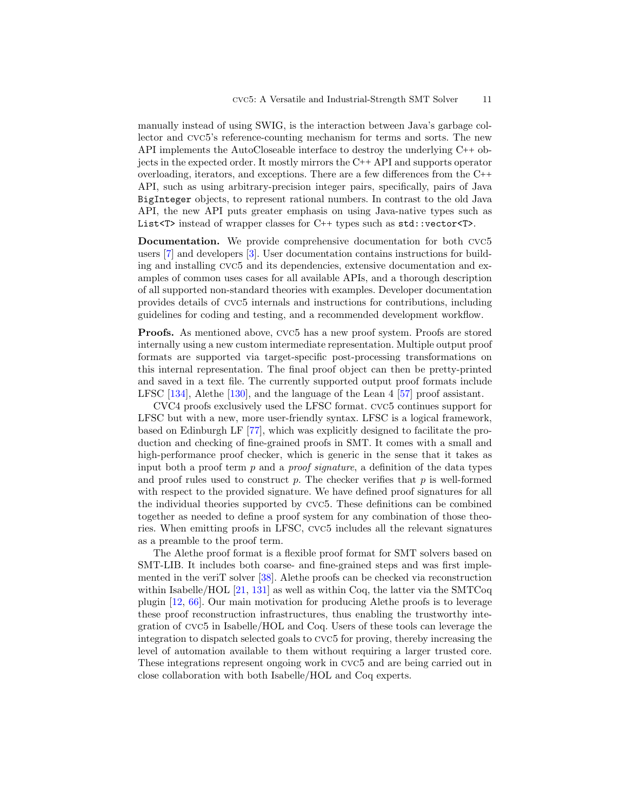manually instead of using SWIG, is the interaction between Java's garbage collector and cvc5's reference-counting mechanism for terms and sorts. The new API implements the AutoCloseable interface to destroy the underlying C++ objects in the expected order. It mostly mirrors the C++ API and supports operator overloading, iterators, and exceptions. There are a few differences from the C++ API, such as using arbitrary-precision integer pairs, specifically, pairs of Java BigInteger objects, to represent rational numbers. In contrast to the old Java API, the new API puts greater emphasis on using Java-native types such as List  $\leq$  instead of wrapper classes for C++ types such as  $\text{std}$ : vector  $\leq$   $\geq$   $\leq$ 

Documentation. We provide comprehensive documentation for both cvc5 users [\[7\]](#page-16-3) and developers [\[3\]](#page-16-4). User documentation contains instructions for building and installing cvc5 and its dependencies, extensive documentation and examples of common uses cases for all available APIs, and a thorough description of all supported non-standard theories with examples. Developer documentation provides details of cvc5 internals and instructions for contributions, including guidelines for coding and testing, and a recommended development workflow.

Proofs. As mentioned above, cvc5 has a new proof system. Proofs are stored internally using a new custom intermediate representation. Multiple output proof formats are supported via target-specific post-processing transformations on this internal representation. The final proof object can then be pretty-printed and saved in a text file. The currently supported output proof formats include LFSC [\[134\]](#page-30-5), Alethe [\[130\]](#page-29-2), and the language of the Lean 4 [\[57\]](#page-22-3) proof assistant.

CVC4 proofs exclusively used the LFSC format. cvc5 continues support for LFSC but with a new, more user-friendly syntax. LFSC is a logical framework, based on Edinburgh LF [\[77\]](#page-24-9), which was explicitly designed to facilitate the production and checking of fine-grained proofs in SMT. It comes with a small and high-performance proof checker, which is generic in the sense that it takes as input both a proof term  $p$  and a *proof signature*, a definition of the data types and proof rules used to construct  $p$ . The checker verifies that  $p$  is well-formed with respect to the provided signature. We have defined proof signatures for all the individual theories supported by cvc5. These definitions can be combined together as needed to define a proof system for any combination of those theories. When emitting proofs in LFSC, cvc5 includes all the relevant signatures as a preamble to the proof term.

The Alethe proof format is a flexible proof format for SMT solvers based on SMT-LIB. It includes both coarse- and fine-grained steps and was first implemented in the veriT solver [\[38\]](#page-19-4). Alethe proofs can be checked via reconstruction within Isabelle/HOL  $[21, 131]$  $[21, 131]$  $[21, 131]$  as well as within Coq, the latter via the SMTCoq plugin [\[12,](#page-16-5) [66\]](#page-22-9). Our main motivation for producing Alethe proofs is to leverage these proof reconstruction infrastructures, thus enabling the trustworthy integration of cvc5 in Isabelle/HOL and Coq. Users of these tools can leverage the integration to dispatch selected goals to cvc5 for proving, thereby increasing the level of automation available to them without requiring a larger trusted core. These integrations represent ongoing work in cvc5 and are being carried out in close collaboration with both Isabelle/HOL and Coq experts.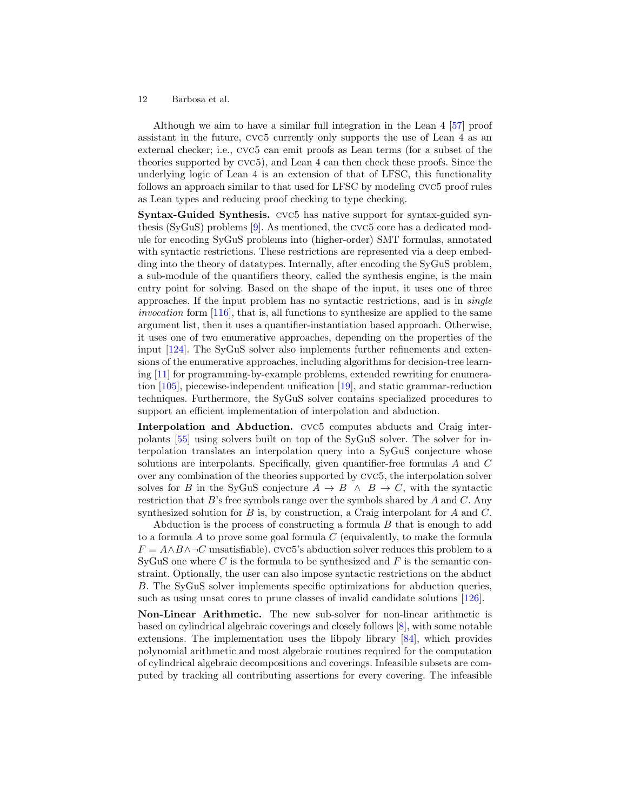Although we aim to have a similar full integration in the Lean 4 [\[57\]](#page-22-3) proof assistant in the future, cvc5 currently only supports the use of Lean 4 as an external checker; i.e., cvc5 can emit proofs as Lean terms (for a subset of the theories supported by cvc5), and Lean 4 can then check these proofs. Since the underlying logic of Lean 4 is an extension of that of LFSC, this functionality follows an approach similar to that used for LFSC by modeling cvc5 proof rules as Lean types and reducing proof checking to type checking.

Syntax-Guided Synthesis. cvc5 has native support for syntax-guided synthesis (SyGuS) problems [\[9\]](#page-16-1). As mentioned, the cvc5 core has a dedicated module for encoding SyGuS problems into (higher-order) SMT formulas, annotated with syntactic restrictions. These restrictions are represented via a deep embedding into the theory of datatypes. Internally, after encoding the SyGuS problem, a sub-module of the quantifiers theory, called the synthesis engine, is the main entry point for solving. Based on the shape of the input, it uses one of three approaches. If the input problem has no syntactic restrictions, and is in single invocation form [\[116\]](#page-27-0), that is, all functions to synthesize are applied to the same argument list, then it uses a quantifier-instantiation based approach. Otherwise, it uses one of two enumerative approaches, depending on the properties of the input [\[124\]](#page-29-8). The SyGuS solver also implements further refinements and extensions of the enumerative approaches, including algorithms for decision-tree learning [\[11\]](#page-16-6) for programming-by-example problems, extended rewriting for enumeration [\[105\]](#page-26-4), piecewise-independent unification [\[19\]](#page-17-6), and static grammar-reduction techniques. Furthermore, the SyGuS solver contains specialized procedures to support an efficient implementation of interpolation and abduction.

Interpolation and Abduction. cvc5 computes abducts and Craig interpolants [\[55\]](#page-21-6) using solvers built on top of the SyGuS solver. The solver for interpolation translates an interpolation query into a SyGuS conjecture whose solutions are interpolants. Specifically, given quantifier-free formulas A and C over any combination of the theories supported by cvc5, the interpolation solver solves for B in the SyGuS conjecture  $A \to B \land B \to C$ , with the syntactic restriction that  $B$ 's free symbols range over the symbols shared by  $A$  and  $C$ . Any synthesized solution for  $B$  is, by construction, a Craig interpolant for  $A$  and  $C$ .

Abduction is the process of constructing a formula B that is enough to add to a formula  $A$  to prove some goal formula  $C$  (equivalently, to make the formula  $F = A \wedge B \wedge \neg C$  unsatisfiable). CVC5's abduction solver reduces this problem to a SyGuS one where C is the formula to be synthesized and  $F$  is the semantic constraint. Optionally, the user can also impose syntactic restrictions on the abduct B. The SyGuS solver implements specific optimizations for abduction queries, such as using unsat cores to prune classes of invalid candidate solutions [\[126\]](#page-29-1).

Non-Linear Arithmetic. The new sub-solver for non-linear arithmetic is based on cylindrical algebraic coverings and closely follows [\[8\]](#page-16-2), with some notable extensions. The implementation uses the libpoly library [\[84\]](#page-24-10), which provides polynomial arithmetic and most algebraic routines required for the computation of cylindrical algebraic decompositions and coverings. Infeasible subsets are computed by tracking all contributing assertions for every covering. The infeasible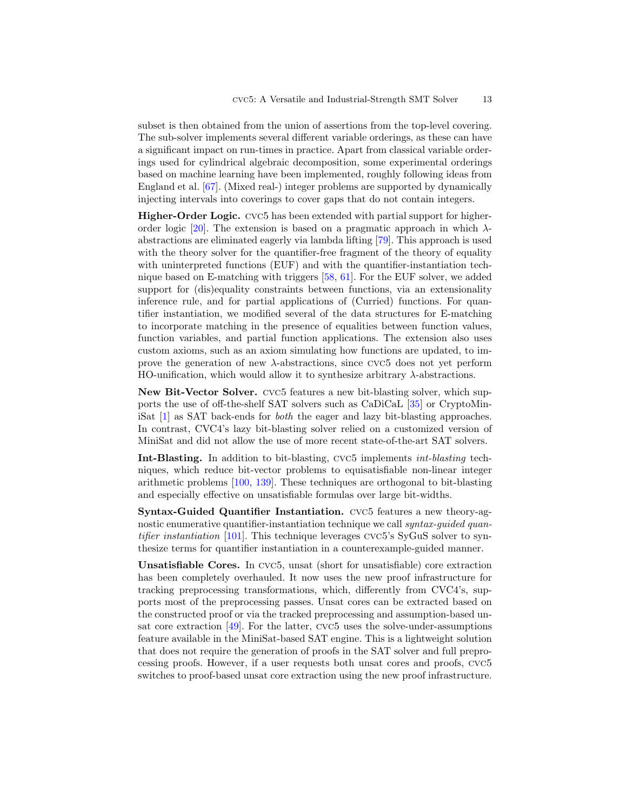subset is then obtained from the union of assertions from the top-level covering. The sub-solver implements several different variable orderings, as these can have a significant impact on run-times in practice. Apart from classical variable orderings used for cylindrical algebraic decomposition, some experimental orderings based on machine learning have been implemented, roughly following ideas from England et al. [\[67\]](#page-22-10). (Mixed real-) integer problems are supported by dynamically injecting intervals into coverings to cover gaps that do not contain integers.

Higher-Order Logic. cvc5 has been extended with partial support for higher-order logic [\[20\]](#page-17-7). The extension is based on a pragmatic approach in which  $\lambda$ abstractions are eliminated eagerly via lambda lifting [\[79\]](#page-24-11). This approach is used with the theory solver for the quantifier-free fragment of the theory of equality with uninterpreted functions (EUF) and with the quantifier-instantiation technique based on E-matching with triggers [\[58,](#page-22-4) [61\]](#page-22-8). For the EUF solver, we added support for (dis)equality constraints between functions, via an extensionality inference rule, and for partial applications of (Curried) functions. For quantifier instantiation, we modified several of the data structures for E-matching to incorporate matching in the presence of equalities between function values, function variables, and partial function applications. The extension also uses custom axioms, such as an axiom simulating how functions are updated, to improve the generation of new  $\lambda$ -abstractions, since CVC5 does not yet perform HO-unification, which would allow it to synthesize arbitrary  $\lambda$ -abstractions.

New Bit-Vector Solver. cvc5 features a new bit-blasting solver, which supports the use of off-the-shelf SAT solvers such as CaDiCaL [\[35\]](#page-19-5) or CryptoMiniSat [\[1\]](#page-16-7) as SAT back-ends for both the eager and lazy bit-blasting approaches. In contrast, CVC4's lazy bit-blasting solver relied on a customized version of MiniSat and did not allow the use of more recent state-of-the-art SAT solvers.

Int-Blasting. In addition to bit-blasting, cvc5 implements int-blasting techniques, which reduce bit-vector problems to equisatisfiable non-linear integer arithmetic problems [\[100,](#page-26-7) [139\]](#page-30-3). These techniques are orthogonal to bit-blasting and especially effective on unsatisfiable formulas over large bit-widths.

Syntax-Guided Quantifier Instantiation. cvc5 features a new theory-agnostic enumerative quantifier-instantiation technique we call *syntax-quided quan*tifier instantiation [\[101\]](#page-26-1). This technique leverages cvc5's SyGuS solver to synthesize terms for quantifier instantiation in a counterexample-guided manner.

Unsatisfiable Cores. In cvc5, unsat (short for unsatisfiable) core extraction has been completely overhauled. It now uses the new proof infrastructure for tracking preprocessing transformations, which, differently from CVC4's, supports most of the preprocessing passes. Unsat cores can be extracted based on the constructed proof or via the tracked preprocessing and assumption-based unsat core extraction [\[49\]](#page-21-7). For the latter, cvc5 uses the solve-under-assumptions feature available in the MiniSat-based SAT engine. This is a lightweight solution that does not require the generation of proofs in the SAT solver and full preprocessing proofs. However, if a user requests both unsat cores and proofs, cvc5 switches to proof-based unsat core extraction using the new proof infrastructure.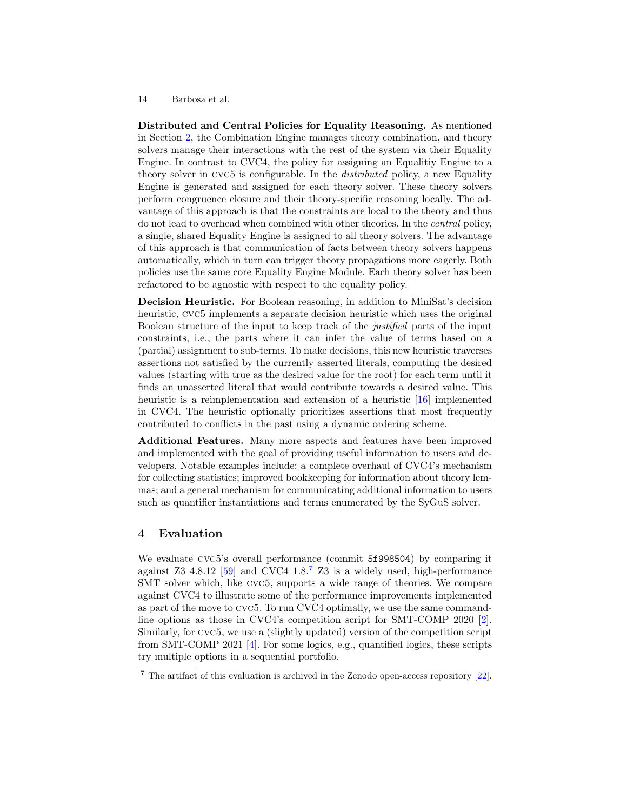Distributed and Central Policies for Equality Reasoning. As mentioned in Section [2,](#page-1-1) the Combination Engine manages theory combination, and theory solvers manage their interactions with the rest of the system via their Equality Engine. In contrast to CVC4, the policy for assigning an Equalitiy Engine to a theory solver in CVC5 is configurable. In the *distributed* policy, a new Equality Engine is generated and assigned for each theory solver. These theory solvers perform congruence closure and their theory-specific reasoning locally. The advantage of this approach is that the constraints are local to the theory and thus do not lead to overhead when combined with other theories. In the central policy, a single, shared Equality Engine is assigned to all theory solvers. The advantage of this approach is that communication of facts between theory solvers happens automatically, which in turn can trigger theory propagations more eagerly. Both policies use the same core Equality Engine Module. Each theory solver has been refactored to be agnostic with respect to the equality policy.

Decision Heuristic. For Boolean reasoning, in addition to MiniSat's decision heuristic, cvc5 implements a separate decision heuristic which uses the original Boolean structure of the input to keep track of the justified parts of the input constraints, i.e., the parts where it can infer the value of terms based on a (partial) assignment to sub-terms. To make decisions, this new heuristic traverses assertions not satisfied by the currently asserted literals, computing the desired values (starting with true as the desired value for the root) for each term until it finds an unasserted literal that would contribute towards a desired value. This heuristic is a reimplementation and extension of a heuristic [\[16\]](#page-17-8) implemented in CVC4. The heuristic optionally prioritizes assertions that most frequently contributed to conflicts in the past using a dynamic ordering scheme.

Additional Features. Many more aspects and features have been improved and implemented with the goal of providing useful information to users and developers. Notable examples include: a complete overhaul of CVC4's mechanism for collecting statistics; improved bookkeeping for information about theory lemmas; and a general mechanism for communicating additional information to users such as quantifier instantiations and terms enumerated by the SyGuS solver.

## <span id="page-13-1"></span>4 Evaluation

We evaluate cvc5's overall performance (commit 5f998504) by comparing it against Z3 4.8.12 [\[59\]](#page-22-1) and CVC4  $1.8<sup>7</sup>$  $1.8<sup>7</sup>$  $1.8<sup>7</sup>$  Z3 is a widely used, high-performance SMT solver which, like cvc5, supports a wide range of theories. We compare against CVC4 to illustrate some of the performance improvements implemented as part of the move to cvc5. To run CVC4 optimally, we use the same commandline options as those in CVC4's competition script for SMT-COMP 2020 [\[2\]](#page-16-8). Similarly, for cvc5, we use a (slightly updated) version of the competition script from SMT-COMP 2021 [\[4\]](#page-16-9). For some logics, e.g., quantified logics, these scripts try multiple options in a sequential portfolio.

<span id="page-13-0"></span><sup>7</sup> The artifact of this evaluation is archived in the Zenodo open-access repository [\[22\]](#page-18-8).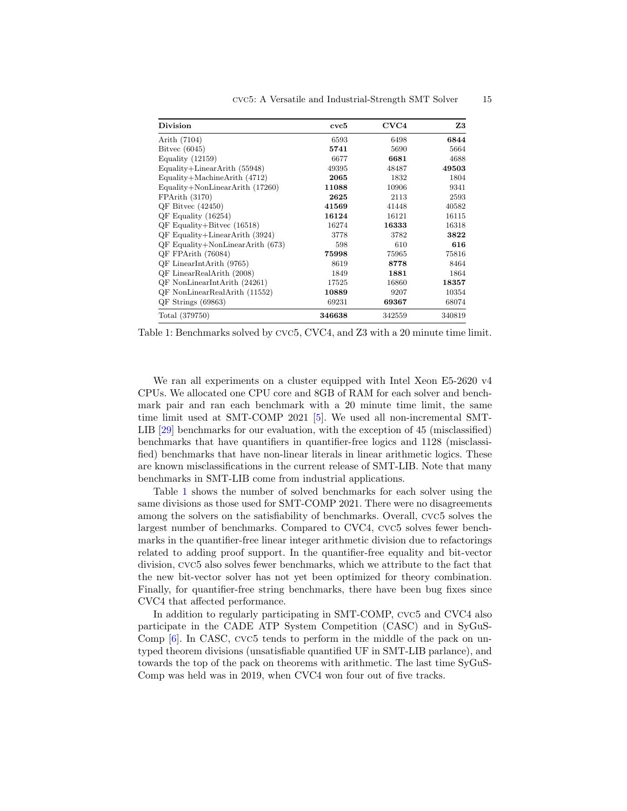<span id="page-14-0"></span>

| <b>Division</b>                      | cvc5   | CVC4   | Z3     |
|--------------------------------------|--------|--------|--------|
| Arith (7104)                         | 6593   | 6498   | 6844   |
| Bityec $(6045)$                      | 5741   | 5690   | 5664   |
| Equality $(12159)$                   | 6677   | 6681   | 4688   |
| Equality+LinearArith (55948)         | 49395  | 48487  | 49503  |
| Equality+MachineArith $(4712)$       | 2065   | 1832   | 1804   |
| Equality+NonLinearArith (17260)      | 11088  | 10906  | 9341   |
| FPArith (3170)                       | 2625   | 2113   | 2593   |
| QF Bitvec $(42450)$                  | 41569  | 41448  | 40582  |
| $QF$ Equality $(16254)$              | 16124  | 16121  | 16115  |
| $QF$ Equality+Bitvec (16518)         | 16274  | 16333  | 16318  |
| $QF$ Equality+LinearArith $(3924)$   | 3778   | 3782   | 3822   |
| $QF$ Equality+NonLinearArith $(673)$ | 598    | 610    | 616    |
| QF FPArith (76084)                   | 75998  | 75965  | 75816  |
| QF LinearIntArith (9765)             | 8619   | 8778   | 8464   |
| QF LinearRealArith (2008)            | 1849   | 1881   | 1864   |
| $QF$ NonLinearIntArith $(24261)$     | 17525  | 16860  | 18357  |
| QF NonLinearRealArith (11552)        | 10889  | 9207   | 10354  |
| $QF$ Strings (69863)                 | 69231  | 69367  | 68074  |
| Total (379750)                       | 346638 | 342559 | 340819 |

Table 1: Benchmarks solved by cvc5, CVC4, and Z3 with a 20 minute time limit.

We ran all experiments on a cluster equipped with Intel Xeon E5-2620 v4 CPUs. We allocated one CPU core and 8GB of RAM for each solver and benchmark pair and ran each benchmark with a 20 minute time limit, the same time limit used at SMT-COMP 2021 [\[5\]](#page-16-10). We used all non-incremental SMT-LIB [\[29\]](#page-18-4) benchmarks for our evaluation, with the exception of 45 (misclassified) benchmarks that have quantifiers in quantifier-free logics and 1128 (misclassified) benchmarks that have non-linear literals in linear arithmetic logics. These are known misclassifications in the current release of SMT-LIB. Note that many benchmarks in SMT-LIB come from industrial applications.

Table [1](#page-14-0) shows the number of solved benchmarks for each solver using the same divisions as those used for SMT-COMP 2021. There were no disagreements among the solvers on the satisfiability of benchmarks. Overall, cvc5 solves the largest number of benchmarks. Compared to CVC4, cvc5 solves fewer benchmarks in the quantifier-free linear integer arithmetic division due to refactorings related to adding proof support. In the quantifier-free equality and bit-vector division, cvc5 also solves fewer benchmarks, which we attribute to the fact that the new bit-vector solver has not yet been optimized for theory combination. Finally, for quantifier-free string benchmarks, there have been bug fixes since CVC4 that affected performance.

In addition to regularly participating in SMT-COMP, cvc5 and CVC4 also participate in the CADE ATP System Competition (CASC) and in SyGuS-Comp [\[6\]](#page-16-11). In CASC, cvc5 tends to perform in the middle of the pack on untyped theorem divisions (unsatisfiable quantified UF in SMT-LIB parlance), and towards the top of the pack on theorems with arithmetic. The last time SyGuS-Comp was held was in 2019, when CVC4 won four out of five tracks.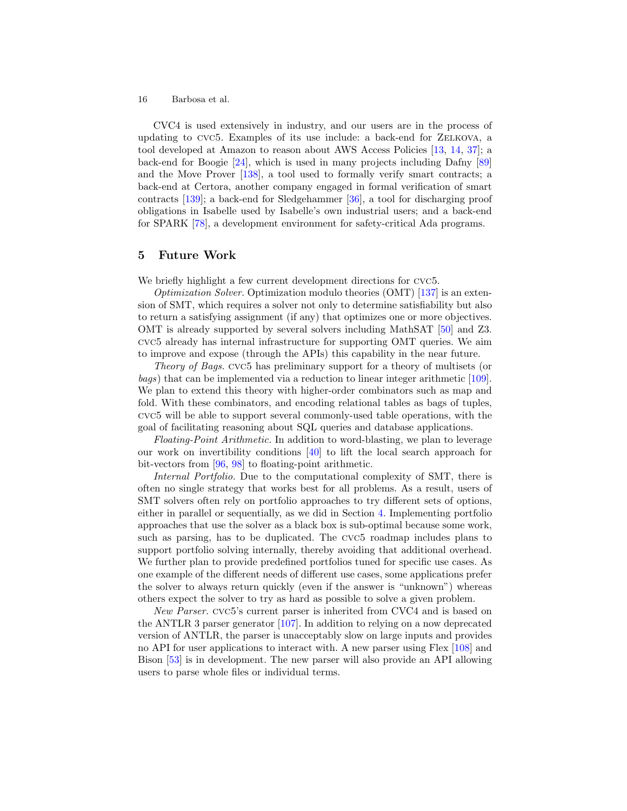CVC4 is used extensively in industry, and our users are in the process of updating to cvc5. Examples of its use include: a back-end for Zelkova, a tool developed at Amazon to reason about AWS Access Policies [\[13,](#page-17-1) [14,](#page-17-0) [37\]](#page-19-6); a back-end for Boogie [\[24\]](#page-18-9), which is used in many projects including Dafny [\[89\]](#page-25-7) and the Move Prover [\[138\]](#page-30-2), a tool used to formally verify smart contracts; a back-end at Certora, another company engaged in formal verification of smart contracts [\[139\]](#page-30-3); a back-end for Sledgehammer [\[36\]](#page-19-7), a tool for discharging proof obligations in Isabelle used by Isabelle's own industrial users; and a back-end for SPARK [\[78\]](#page-24-1), a development environment for safety-critical Ada programs.

## 5 Future Work

We briefly highlight a few current development directions for cvc5.

*Optimization Solver.* Optimization modulo theories (OMT)  $[137]$  is an extension of SMT, which requires a solver not only to determine satisfiability but also to return a satisfying assignment (if any) that optimizes one or more objectives. OMT is already supported by several solvers including MathSAT [\[50\]](#page-21-1) and Z3. cvc5 already has internal infrastructure for supporting OMT queries. We aim to improve and expose (through the APIs) this capability in the near future.

Theory of Bags. cvc5 has preliminary support for a theory of multisets (or bags) that can be implemented via a reduction to linear integer arithmetic [\[109\]](#page-27-7). We plan to extend this theory with higher-order combinators such as map and fold. With these combinators, and encoding relational tables as bags of tuples, cvc5 will be able to support several commonly-used table operations, with the goal of facilitating reasoning about SQL queries and database applications.

Floating-Point Arithmetic. In addition to word-blasting, we plan to leverage our work on invertibility conditions [\[40\]](#page-20-7) to lift the local search approach for bit-vectors from [\[96,](#page-25-8) [98\]](#page-25-9) to floating-point arithmetic.

Internal Portfolio. Due to the computational complexity of SMT, there is often no single strategy that works best for all problems. As a result, users of SMT solvers often rely on portfolio approaches to try different sets of options, either in parallel or sequentially, as we did in Section [4.](#page-13-1) Implementing portfolio approaches that use the solver as a black box is sub-optimal because some work, such as parsing, has to be duplicated. The cvc5 roadmap includes plans to support portfolio solving internally, thereby avoiding that additional overhead. We further plan to provide predefined portfolios tuned for specific use cases. As one example of the different needs of different use cases, some applications prefer the solver to always return quickly (even if the answer is "unknown") whereas others expect the solver to try as hard as possible to solve a given problem.

New Parser. cvc5's current parser is inherited from CVC4 and is based on the ANTLR 3 parser generator [\[107\]](#page-26-8). In addition to relying on a now deprecated version of ANTLR, the parser is unacceptably slow on large inputs and provides no API for user applications to interact with. A new parser using Flex [\[108\]](#page-27-8) and Bison [\[53\]](#page-21-8) is in development. The new parser will also provide an API allowing users to parse whole files or individual terms.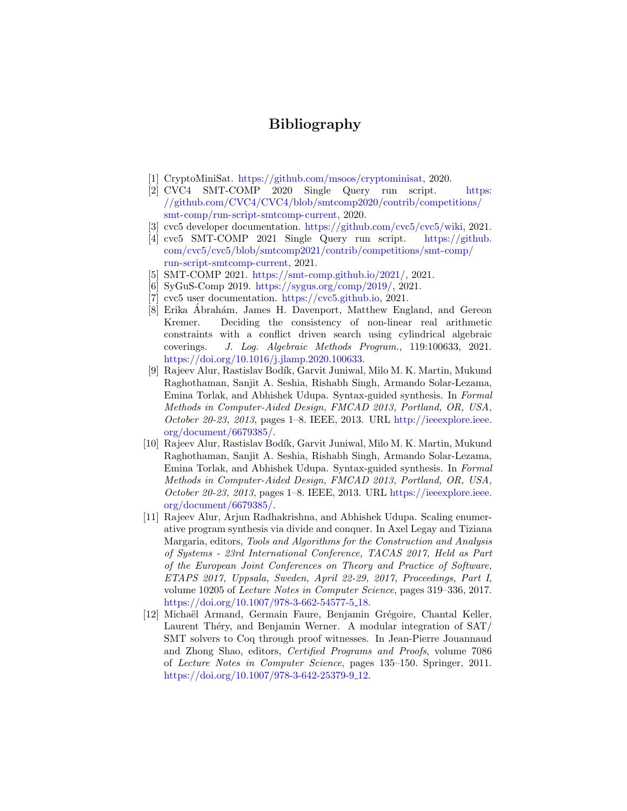## Bibliography

- <span id="page-16-7"></span>[1] CryptoMiniSat. [https://github.com/msoos/cryptominisat,](https://github.com/msoos/cryptominisat) 2020.
- <span id="page-16-8"></span>[2] CVC4 SMT-COMP 2020 Single Query run script. [https:](https://github.com/CVC4/CVC4/blob/smtcomp2020/contrib/competitions/smt-comp/run-script-smtcomp-current) [//github.com/CVC4/CVC4/blob/smtcomp2020/contrib/competitions/](https://github.com/CVC4/CVC4/blob/smtcomp2020/contrib/competitions/smt-comp/run-script-smtcomp-current) [smt-comp/run-script-smtcomp-current,](https://github.com/CVC4/CVC4/blob/smtcomp2020/contrib/competitions/smt-comp/run-script-smtcomp-current) 2020.
- <span id="page-16-4"></span>[3] cvc5 developer documentation. [https://github.com/cvc5/cvc5/wiki,](https://github.com/cvc5/cvc5/wiki) 2021.
- <span id="page-16-9"></span>[4] cvc5 SMT-COMP 2021 Single Query run script. [https://github.](https://github.com/cvc5/cvc5/blob/smtcomp2021/contrib/competitions/smt-comp/run-script-smtcomp-current) [com/cvc5/cvc5/blob/smtcomp2021/contrib/competitions/smt-comp/](https://github.com/cvc5/cvc5/blob/smtcomp2021/contrib/competitions/smt-comp/run-script-smtcomp-current) [run-script-smtcomp-current,](https://github.com/cvc5/cvc5/blob/smtcomp2021/contrib/competitions/smt-comp/run-script-smtcomp-current) 2021.
- <span id="page-16-10"></span>[5] SMT-COMP 2021. [https://smt-comp.github.io/2021/,](https://smt-comp.github.io/2021/) 2021.
- <span id="page-16-11"></span>[6] SyGuS-Comp 2019. [https://sygus.org/comp/2019/,](https://sygus.org/comp/2019/) 2021.
- <span id="page-16-3"></span>[7] cvc5 user documentation. [https://cvc5.github.io,](https://cvc5.github.io) 2021.
- <span id="page-16-2"></span>[8] Erika Abrahám, James H. Davenport, Matthew England, and Gereon Kremer. Deciding the consistency of non-linear real arithmetic constraints with a conflict driven search using cylindrical algebraic coverings. J. Log. Algebraic Methods Program., 119:100633, 2021. [https://doi.org/10.1016/j.jlamp.2020.100633.](https://doi.org/10.1016/j.jlamp.2020.100633)
- <span id="page-16-1"></span>[9] Rajeev Alur, Rastislav Bodík, Garvit Juniwal, Milo M. K. Martin, Mukund Raghothaman, Sanjit A. Seshia, Rishabh Singh, Armando Solar-Lezama, Emina Torlak, and Abhishek Udupa. Syntax-guided synthesis. In Formal Methods in Computer-Aided Design, FMCAD 2013, Portland, OR, USA, October 20-23, 2013, pages 1–8. IEEE, 2013. URL [http://ieeexplore.ieee.](http://ieeexplore.ieee.org/document/6679385/) [org/document/6679385/.](http://ieeexplore.ieee.org/document/6679385/)
- <span id="page-16-0"></span>[10] Rajeev Alur, Rastislav Bodík, Garvit Juniwal, Milo M. K. Martin, Mukund Raghothaman, Sanjit A. Seshia, Rishabh Singh, Armando Solar-Lezama, Emina Torlak, and Abhishek Udupa. Syntax-guided synthesis. In Formal Methods in Computer-Aided Design, FMCAD 2013, Portland, OR, USA, October 20-23, 2013, pages 1–8. IEEE, 2013. URL [https://ieeexplore.ieee.](https://ieeexplore.ieee.org/document/6679385/) [org/document/6679385/.](https://ieeexplore.ieee.org/document/6679385/)
- <span id="page-16-6"></span>[11] Rajeev Alur, Arjun Radhakrishna, and Abhishek Udupa. Scaling enumerative program synthesis via divide and conquer. In Axel Legay and Tiziana Margaria, editors, Tools and Algorithms for the Construction and Analysis of Systems - 23rd International Conference, TACAS 2017, Held as Part of the European Joint Conferences on Theory and Practice of Software, ETAPS 2017, Uppsala, Sweden, April 22-29, 2017, Proceedings, Part I, volume 10205 of Lecture Notes in Computer Science, pages 319–336, 2017. [https://doi.org/10.1007/978-3-662-54577-5](https://doi.org/10.1007/978-3-662-54577-5_18) 18.
- <span id="page-16-5"></span>[12] Michaël Armand, Germain Faure, Benjamin Grégoire, Chantal Keller, Laurent Théry, and Benjamin Werner. A modular integration of  $SAT/$ SMT solvers to Coq through proof witnesses. In Jean-Pierre Jouannaud and Zhong Shao, editors, Certified Programs and Proofs, volume 7086 of Lecture Notes in Computer Science, pages 135–150. Springer, 2011. [https://doi.org/10.1007/978-3-642-25379-9](https://doi.org/10.1007/978-3-642-25379-9_12) 12.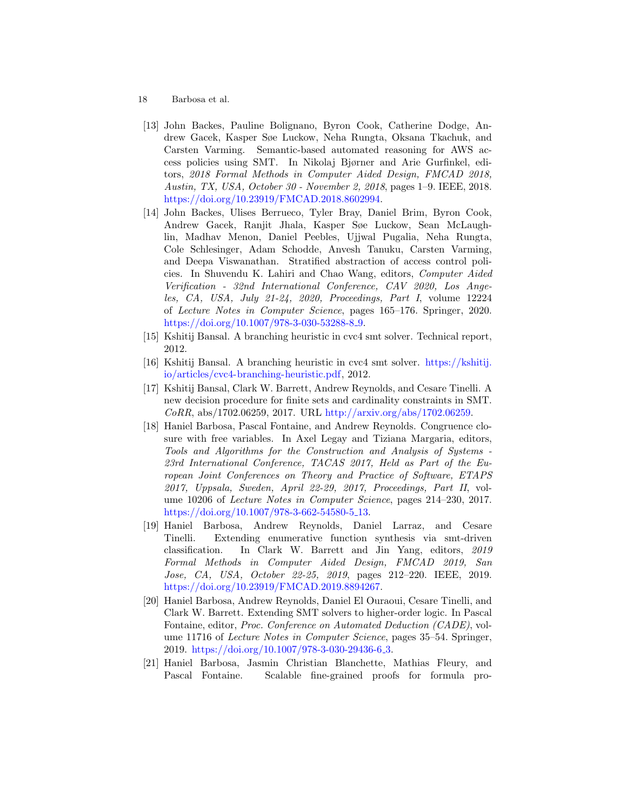- 18 Barbosa et al.
- <span id="page-17-1"></span>[13] John Backes, Pauline Bolignano, Byron Cook, Catherine Dodge, Andrew Gacek, Kasper Søe Luckow, Neha Rungta, Oksana Tkachuk, and Carsten Varming. Semantic-based automated reasoning for AWS access policies using SMT. In Nikolaj Bjørner and Arie Gurfinkel, editors, 2018 Formal Methods in Computer Aided Design, FMCAD 2018, Austin, TX, USA, October 30 - November 2, 2018, pages 1–9. IEEE, 2018. [https://doi.org/10.23919/FMCAD.2018.8602994.](https://doi.org/10.23919/FMCAD.2018.8602994)
- <span id="page-17-0"></span>[14] John Backes, Ulises Berrueco, Tyler Bray, Daniel Brim, Byron Cook, Andrew Gacek, Ranjit Jhala, Kasper Søe Luckow, Sean McLaughlin, Madhav Menon, Daniel Peebles, Ujjwal Pugalia, Neha Rungta, Cole Schlesinger, Adam Schodde, Anvesh Tanuku, Carsten Varming, and Deepa Viswanathan. Stratified abstraction of access control policies. In Shuvendu K. Lahiri and Chao Wang, editors, Computer Aided Verification - 32nd International Conference, CAV 2020, Los Angeles, CA, USA, July 21-24, 2020, Proceedings, Part I, volume 12224 of Lecture Notes in Computer Science, pages 165–176. Springer, 2020. [https://doi.org/10.1007/978-3-030-53288-8](https://doi.org/10.1007/978-3-030-53288-8_9)<sub>-9</sub>.
- <span id="page-17-2"></span>[15] Kshitij Bansal. A branching heuristic in cvc4 smt solver. Technical report, 2012.
- <span id="page-17-8"></span>[16] Kshitij Bansal. A branching heuristic in cvc4 smt solver. [https://kshitij.](https://kshitij.io/articles/cvc4-branching-heuristic.pdf) [io/articles/cvc4-branching-heuristic.pdf,](https://kshitij.io/articles/cvc4-branching-heuristic.pdf) 2012.
- <span id="page-17-3"></span>[17] Kshitij Bansal, Clark W. Barrett, Andrew Reynolds, and Cesare Tinelli. A new decision procedure for finite sets and cardinality constraints in SMT. CoRR, abs/1702.06259, 2017. URL [http://arxiv.org/abs/1702.06259.](http://arxiv.org/abs/1702.06259)
- <span id="page-17-4"></span>[18] Haniel Barbosa, Pascal Fontaine, and Andrew Reynolds. Congruence closure with free variables. In Axel Legay and Tiziana Margaria, editors, Tools and Algorithms for the Construction and Analysis of Systems - 23rd International Conference, TACAS 2017, Held as Part of the European Joint Conferences on Theory and Practice of Software, ETAPS 2017, Uppsala, Sweden, April 22-29, 2017, Proceedings, Part II, volume 10206 of Lecture Notes in Computer Science, pages 214–230, 2017. [https://doi.org/10.1007/978-3-662-54580-5](https://doi.org/10.1007/978-3-662-54580-5_13) 13.
- <span id="page-17-6"></span>[19] Haniel Barbosa, Andrew Reynolds, Daniel Larraz, and Cesare Tinelli. Extending enumerative function synthesis via smt-driven classification. In Clark W. Barrett and Jin Yang, editors, 2019 Formal Methods in Computer Aided Design, FMCAD 2019, San Jose, CA, USA, October 22-25, 2019, pages 212–220. IEEE, 2019. [https://doi.org/10.23919/FMCAD.2019.8894267.](https://doi.org/10.23919/FMCAD.2019.8894267)
- <span id="page-17-7"></span>[20] Haniel Barbosa, Andrew Reynolds, Daniel El Ouraoui, Cesare Tinelli, and Clark W. Barrett. Extending SMT solvers to higher-order logic. In Pascal Fontaine, editor, Proc. Conference on Automated Deduction (CADE), volume 11716 of Lecture Notes in Computer Science, pages 35–54. Springer, 2019. [https://doi.org/10.1007/978-3-030-29436-6](https://doi.org/10.1007/978-3-030-29436-6_3) 3.
- <span id="page-17-5"></span>[21] Haniel Barbosa, Jasmin Christian Blanchette, Mathias Fleury, and Pascal Fontaine. Scalable fine-grained proofs for formula pro-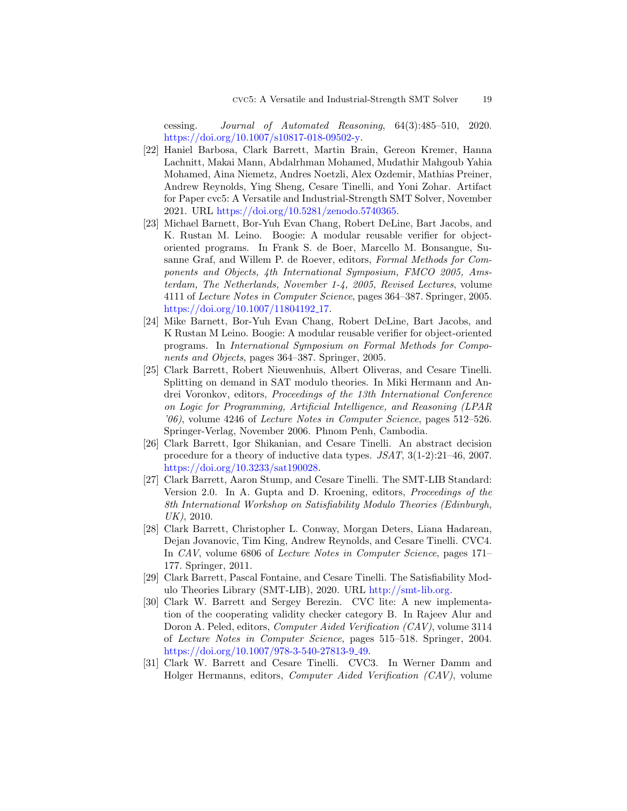cessing. Journal of Automated Reasoning, 64(3):485–510, 2020. [https://doi.org/10.1007/s10817-018-09502-y.](https://doi.org/10.1007/s10817-018-09502-y)

- <span id="page-18-8"></span>[22] Haniel Barbosa, Clark Barrett, Martin Brain, Gereon Kremer, Hanna Lachnitt, Makai Mann, Abdalrhman Mohamed, Mudathir Mahgoub Yahia Mohamed, Aina Niemetz, Andres Noetzli, Alex Ozdemir, Mathias Preiner, Andrew Reynolds, Ying Sheng, Cesare Tinelli, and Yoni Zohar. Artifact for Paper cvc5: A Versatile and Industrial-Strength SMT Solver, November 2021. URL [https://doi.org/10.5281/zenodo.5740365.](https://doi.org/10.5281/zenodo.5740365)
- <span id="page-18-0"></span>[23] Michael Barnett, Bor-Yuh Evan Chang, Robert DeLine, Bart Jacobs, and K. Rustan M. Leino. Boogie: A modular reusable verifier for objectoriented programs. In Frank S. de Boer, Marcello M. Bonsangue, Susanne Graf, and Willem P. de Roever, editors, Formal Methods for Components and Objects, 4th International Symposium, FMCO 2005, Amsterdam, The Netherlands, November 1-4, 2005, Revised Lectures, volume 4111 of Lecture Notes in Computer Science, pages 364–387. Springer, 2005. [https://doi.org/10.1007/11804192](https://doi.org/10.1007/11804192_17) 17.
- <span id="page-18-9"></span>[24] Mike Barnett, Bor-Yuh Evan Chang, Robert DeLine, Bart Jacobs, and K Rustan M Leino. Boogie: A modular reusable verifier for object-oriented programs. In International Symposium on Formal Methods for Components and Objects, pages 364–387. Springer, 2005.
- <span id="page-18-6"></span>[25] Clark Barrett, Robert Nieuwenhuis, Albert Oliveras, and Cesare Tinelli. Splitting on demand in SAT modulo theories. In Miki Hermann and Andrei Voronkov, editors, Proceedings of the 13th International Conference on Logic for Programming, Artificial Intelligence, and Reasoning (LPAR '06), volume 4246 of Lecture Notes in Computer Science, pages 512–526. Springer-Verlag, November 2006. Phnom Penh, Cambodia.
- <span id="page-18-7"></span>[26] Clark Barrett, Igor Shikanian, and Cesare Tinelli. An abstract decision procedure for a theory of inductive data types. JSAT, 3(1-2):21–46, 2007. [https://doi.org/10.3233/sat190028.](https://doi.org/10.3233/sat190028)
- <span id="page-18-5"></span>[27] Clark Barrett, Aaron Stump, and Cesare Tinelli. The SMT-LIB Standard: Version 2.0. In A. Gupta and D. Kroening, editors, Proceedings of the 8th International Workshop on Satisfiability Modulo Theories (Edinburgh, UK), 2010.
- <span id="page-18-1"></span>[28] Clark Barrett, Christopher L. Conway, Morgan Deters, Liana Hadarean, Dejan Jovanovic, Tim King, Andrew Reynolds, and Cesare Tinelli. CVC4. In CAV, volume 6806 of Lecture Notes in Computer Science, pages 171– 177. Springer, 2011.
- <span id="page-18-4"></span>[29] Clark Barrett, Pascal Fontaine, and Cesare Tinelli. The Satisfiability Modulo Theories Library (SMT-LIB), 2020. URL [http://smt-lib.org.](http://smt-lib.org)
- <span id="page-18-2"></span>[30] Clark W. Barrett and Sergey Berezin. CVC lite: A new implementation of the cooperating validity checker category B. In Rajeev Alur and Doron A. Peled, editors, Computer Aided Verification (CAV), volume 3114 of Lecture Notes in Computer Science, pages 515–518. Springer, 2004. [https://doi.org/10.1007/978-3-540-27813-9](https://doi.org/10.1007/978-3-540-27813-9_49)<sub>-</sub>49.
- <span id="page-18-3"></span>[31] Clark W. Barrett and Cesare Tinelli. CVC3. In Werner Damm and Holger Hermanns, editors, Computer Aided Verification (CAV), volume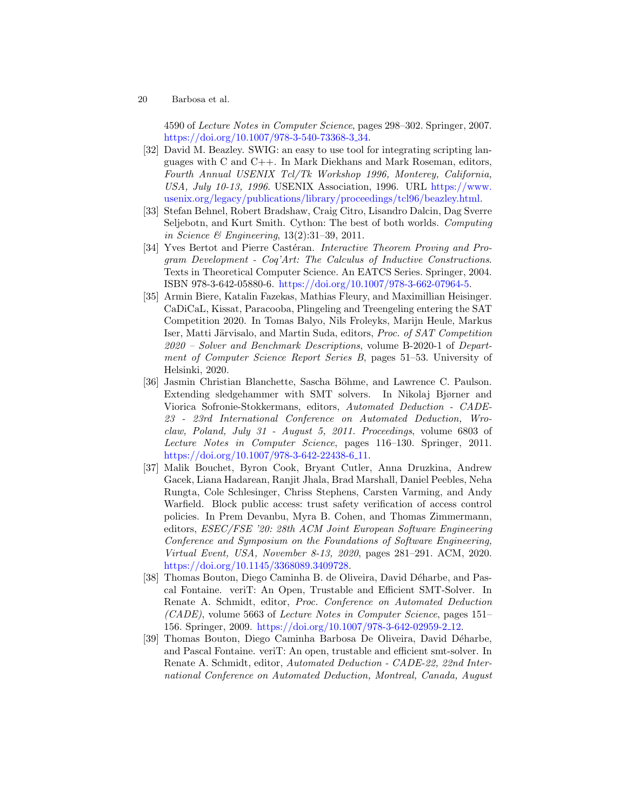4590 of Lecture Notes in Computer Science, pages 298–302. Springer, 2007. [https://doi.org/10.1007/978-3-540-73368-3](https://doi.org/10.1007/978-3-540-73368-3_34)<sub>-</sub>34.

- <span id="page-19-3"></span>[32] David M. Beazley. SWIG: an easy to use tool for integrating scripting languages with C and C++. In Mark Diekhans and Mark Roseman, editors, Fourth Annual USENIX Tcl/Tk Workshop 1996, Monterey, California, USA, July 10-13, 1996. USENIX Association, 1996. URL [https://www.](https://www.usenix.org/legacy/publications/library/proceedings/tcl96/beazley.html) [usenix.org/legacy/publications/library/proceedings/tcl96/beazley.html.](https://www.usenix.org/legacy/publications/library/proceedings/tcl96/beazley.html)
- <span id="page-19-2"></span>[33] Stefan Behnel, Robert Bradshaw, Craig Citro, Lisandro Dalcin, Dag Sverre Seljebotn, and Kurt Smith. Cython: The best of both worlds. Computing in Science & Engineering, 13(2):31–39, 2011.
- <span id="page-19-1"></span>[34] Yves Bertot and Pierre Castéran. Interactive Theorem Proving and Program Development - Coq'Art: The Calculus of Inductive Constructions. Texts in Theoretical Computer Science. An EATCS Series. Springer, 2004. ISBN 978-3-642-05880-6. [https://doi.org/10.1007/978-3-662-07964-5.](https://doi.org/10.1007/978-3-662-07964-5)
- <span id="page-19-5"></span>[35] Armin Biere, Katalin Fazekas, Mathias Fleury, and Maximillian Heisinger. CaDiCaL, Kissat, Paracooba, Plingeling and Treengeling entering the SAT Competition 2020. In Tomas Balyo, Nils Froleyks, Marijn Heule, Markus Iser, Matti Järvisalo, and Martin Suda, editors, Proc. of SAT Competition 2020 – Solver and Benchmark Descriptions, volume B-2020-1 of Department of Computer Science Report Series B, pages 51–53. University of Helsinki, 2020.
- <span id="page-19-7"></span>[36] Jasmin Christian Blanchette, Sascha Böhme, and Lawrence C. Paulson. Extending sledgehammer with SMT solvers. In Nikolaj Bjørner and Viorica Sofronie-Stokkermans, editors, Automated Deduction - CADE-23 - 23rd International Conference on Automated Deduction, Wroclaw, Poland, July 31 - August 5, 2011. Proceedings, volume 6803 of Lecture Notes in Computer Science, pages 116–130. Springer, 2011. [https://doi.org/10.1007/978-3-642-22438-6](https://doi.org/10.1007/978-3-642-22438-6_11) 11.
- <span id="page-19-6"></span>[37] Malik Bouchet, Byron Cook, Bryant Cutler, Anna Druzkina, Andrew Gacek, Liana Hadarean, Ranjit Jhala, Brad Marshall, Daniel Peebles, Neha Rungta, Cole Schlesinger, Chriss Stephens, Carsten Varming, and Andy Warfield. Block public access: trust safety verification of access control policies. In Prem Devanbu, Myra B. Cohen, and Thomas Zimmermann, editors, ESEC/FSE '20: 28th ACM Joint European Software Engineering Conference and Symposium on the Foundations of Software Engineering, Virtual Event, USA, November 8-13, 2020, pages 281–291. ACM, 2020. [https://doi.org/10.1145/3368089.3409728.](https://doi.org/10.1145/3368089.3409728)
- <span id="page-19-4"></span>[38] Thomas Bouton, Diego Caminha B. de Oliveira, David Déharbe, and Pascal Fontaine. veriT: An Open, Trustable and Efficient SMT-Solver. In Renate A. Schmidt, editor, Proc. Conference on Automated Deduction (CADE), volume 5663 of Lecture Notes in Computer Science, pages 151– 156. Springer, 2009. [https://doi.org/10.1007/978-3-642-02959-2](https://doi.org/10.1007/978-3-642-02959-2_12) 12.
- <span id="page-19-0"></span>[39] Thomas Bouton, Diego Caminha Barbosa De Oliveira, David Déharbe, and Pascal Fontaine. veriT: An open, trustable and efficient smt-solver. In Renate A. Schmidt, editor, Automated Deduction - CADE-22, 22nd International Conference on Automated Deduction, Montreal, Canada, August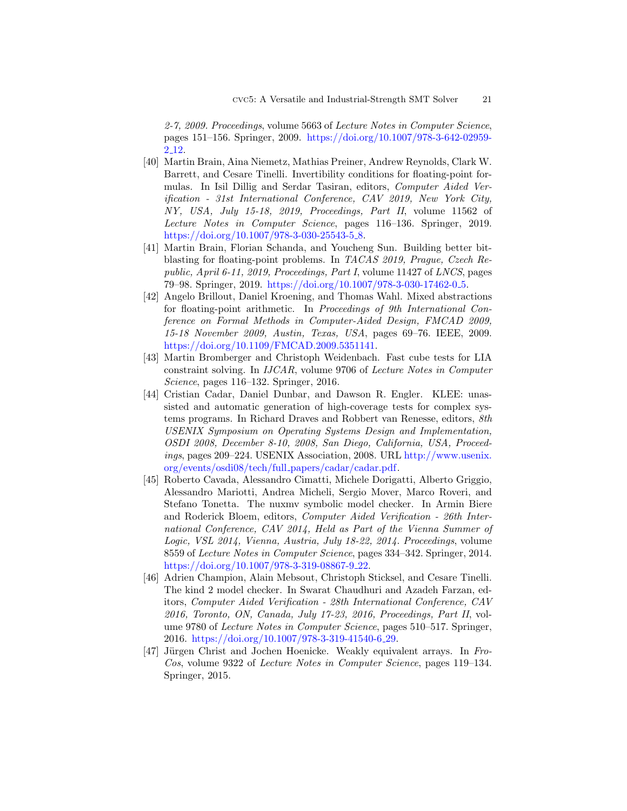2-7, 2009. Proceedings, volume 5663 of Lecture Notes in Computer Science, pages 151–156. Springer, 2009. [https://doi.org/10.1007/978-3-642-02959-](https://doi.org/10.1007/978-3-642-02959-2_12) 2 [12.](https://doi.org/10.1007/978-3-642-02959-2_12)

- <span id="page-20-7"></span>[40] Martin Brain, Aina Niemetz, Mathias Preiner, Andrew Reynolds, Clark W. Barrett, and Cesare Tinelli. Invertibility conditions for floating-point formulas. In Isil Dillig and Serdar Tasiran, editors, Computer Aided Verification - 31st International Conference, CAV 2019, New York City, NY, USA, July 15-18, 2019, Proceedings, Part II, volume 11562 of Lecture Notes in Computer Science, pages 116–136. Springer, 2019. [https://doi.org/10.1007/978-3-030-25543-5](https://doi.org/10.1007/978-3-030-25543-5_8)\_8.
- <span id="page-20-5"></span>[41] Martin Brain, Florian Schanda, and Youcheng Sun. Building better bitblasting for floating-point problems. In TACAS 2019, Prague, Czech Republic, April 6-11, 2019, Proceedings, Part I, volume 11427 of LNCS, pages 79–98. Springer, 2019. [https://doi.org/10.1007/978-3-030-17462-0](https://doi.org/10.1007/978-3-030-17462-0_5) 5.
- <span id="page-20-6"></span>[42] Angelo Brillout, Daniel Kroening, and Thomas Wahl. Mixed abstractions for floating-point arithmetic. In Proceedings of 9th International Conference on Formal Methods in Computer-Aided Design, FMCAD 2009, 15-18 November 2009, Austin, Texas, USA, pages 69–76. IEEE, 2009. [https://doi.org/10.1109/FMCAD.2009.5351141.](https://doi.org/10.1109/FMCAD.2009.5351141)
- <span id="page-20-3"></span>[43] Martin Bromberger and Christoph Weidenbach. Fast cube tests for LIA constraint solving. In IJCAR, volume 9706 of Lecture Notes in Computer Science, pages 116–132. Springer, 2016.
- <span id="page-20-2"></span>[44] Cristian Cadar, Daniel Dunbar, and Dawson R. Engler. KLEE: unassisted and automatic generation of high-coverage tests for complex systems programs. In Richard Draves and Robbert van Renesse, editors, 8th USENIX Symposium on Operating Systems Design and Implementation, OSDI 2008, December 8-10, 2008, San Diego, California, USA, Proceedings, pages 209–224. USENIX Association, 2008. URL [http://www.usenix.](http://www.usenix.org/events/osdi08/tech/full_papers/cadar/cadar.pdf) [org/events/osdi08/tech/full](http://www.usenix.org/events/osdi08/tech/full_papers/cadar/cadar.pdf) papers/cadar/cadar.pdf.
- <span id="page-20-0"></span>[45] Roberto Cavada, Alessandro Cimatti, Michele Dorigatti, Alberto Griggio, Alessandro Mariotti, Andrea Micheli, Sergio Mover, Marco Roveri, and Stefano Tonetta. The nuxmv symbolic model checker. In Armin Biere and Roderick Bloem, editors, Computer Aided Verification - 26th International Conference, CAV 2014, Held as Part of the Vienna Summer of Logic, VSL 2014, Vienna, Austria, July 18-22, 2014. Proceedings, volume 8559 of Lecture Notes in Computer Science, pages 334–342. Springer, 2014. [https://doi.org/10.1007/978-3-319-08867-9](https://doi.org/10.1007/978-3-319-08867-9_22) 22.
- <span id="page-20-1"></span>[46] Adrien Champion, Alain Mebsout, Christoph Sticksel, and Cesare Tinelli. The kind 2 model checker. In Swarat Chaudhuri and Azadeh Farzan, editors, Computer Aided Verification - 28th International Conference, CAV 2016, Toronto, ON, Canada, July 17-23, 2016, Proceedings, Part II, volume 9780 of Lecture Notes in Computer Science, pages 510–517. Springer, 2016. [https://doi.org/10.1007/978-3-319-41540-6](https://doi.org/10.1007/978-3-319-41540-6_29) 29.
- <span id="page-20-4"></span>[47] Jürgen Christ and Jochen Hoenicke. Weakly equivalent arrays. In Fro-Cos, volume 9322 of Lecture Notes in Computer Science, pages 119–134. Springer, 2015.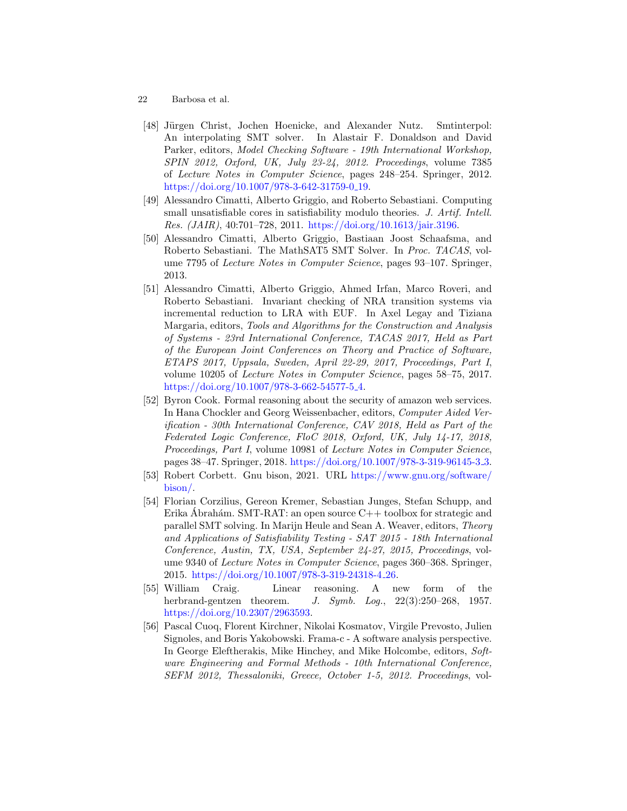- 22 Barbosa et al.
- <span id="page-21-2"></span>[48] Jürgen Christ, Jochen Hoenicke, and Alexander Nutz. Smtinterpol: An interpolating SMT solver. In Alastair F. Donaldson and David Parker, editors, Model Checking Software - 19th International Workshop, SPIN 2012, Oxford, UK, July 23-24, 2012. Proceedings, volume 7385 of Lecture Notes in Computer Science, pages 248–254. Springer, 2012. [https://doi.org/10.1007/978-3-642-31759-0](https://doi.org/10.1007/978-3-642-31759-0_19)<sub>-</sub>19.
- <span id="page-21-7"></span>[49] Alessandro Cimatti, Alberto Griggio, and Roberto Sebastiani. Computing small unsatisfiable cores in satisfiability modulo theories. J. Artif. Intell. Res. (JAIR), 40:701–728, 2011. [https://doi.org/10.1613/jair.3196.](https://doi.org/10.1613/jair.3196)
- <span id="page-21-1"></span>[50] Alessandro Cimatti, Alberto Griggio, Bastiaan Joost Schaafsma, and Roberto Sebastiani. The MathSAT5 SMT Solver. In Proc. TACAS, volume 7795 of Lecture Notes in Computer Science, pages 93–107. Springer, 2013.
- <span id="page-21-5"></span>[51] Alessandro Cimatti, Alberto Griggio, Ahmed Irfan, Marco Roveri, and Roberto Sebastiani. Invariant checking of NRA transition systems via incremental reduction to LRA with EUF. In Axel Legay and Tiziana Margaria, editors, Tools and Algorithms for the Construction and Analysis of Systems - 23rd International Conference, TACAS 2017, Held as Part of the European Joint Conferences on Theory and Practice of Software, ETAPS 2017, Uppsala, Sweden, April 22-29, 2017, Proceedings, Part I, volume 10205 of Lecture Notes in Computer Science, pages 58–75, 2017. [https://doi.org/10.1007/978-3-662-54577-5](https://doi.org/10.1007/978-3-662-54577-5_4) 4.
- <span id="page-21-4"></span>[52] Byron Cook. Formal reasoning about the security of amazon web services. In Hana Chockler and Georg Weissenbacher, editors, Computer Aided Verification - 30th International Conference, CAV 2018, Held as Part of the Federated Logic Conference, FloC 2018, Oxford, UK, July 14-17, 2018, Proceedings, Part I, volume 10981 of Lecture Notes in Computer Science, pages 38–47. Springer, 2018. [https://doi.org/10.1007/978-3-319-96145-3](https://doi.org/10.1007/978-3-319-96145-3_3) 3.
- <span id="page-21-8"></span>[53] Robert Corbett. Gnu bison, 2021. URL [https://www.gnu.org/software/](https://www.gnu.org/software/bison/) [bison/.](https://www.gnu.org/software/bison/)
- <span id="page-21-3"></span>[54] Florian Corzilius, Gereon Kremer, Sebastian Junges, Stefan Schupp, and Erika Abrahám. SMT-RAT: an open source  $C++$  toolbox for strategic and parallel SMT solving. In Marijn Heule and Sean A. Weaver, editors, Theory and Applications of Satisfiability Testing - SAT 2015 - 18th International Conference, Austin, TX, USA, September 24-27, 2015, Proceedings, volume 9340 of Lecture Notes in Computer Science, pages 360–368. Springer, 2015. [https://doi.org/10.1007/978-3-319-24318-4](https://doi.org/10.1007/978-3-319-24318-4_26) 26.
- <span id="page-21-6"></span>[55] William Craig. Linear reasoning. A new form of the herbrand-gentzen theorem. J. Symb. Log.,  $22(3):250-268$ , 1957. [https://doi.org/10.2307/2963593.](https://doi.org/10.2307/2963593)
- <span id="page-21-0"></span>[56] Pascal Cuoq, Florent Kirchner, Nikolai Kosmatov, Virgile Prevosto, Julien Signoles, and Boris Yakobowski. Frama-c - A software analysis perspective. In George Eleftherakis, Mike Hinchey, and Mike Holcombe, editors, Software Engineering and Formal Methods - 10th International Conference, SEFM 2012, Thessaloniki, Greece, October 1-5, 2012. Proceedings, vol-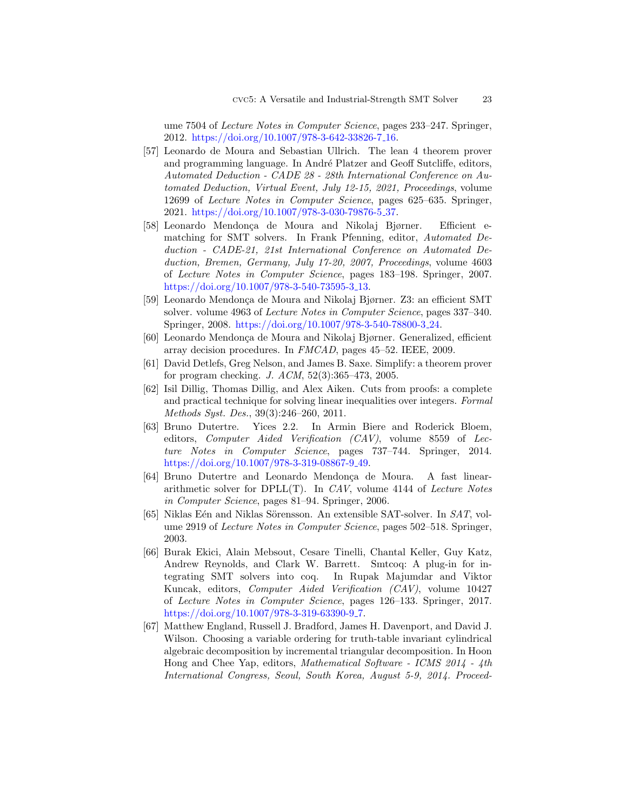ume 7504 of Lecture Notes in Computer Science, pages 233–247. Springer, 2012. [https://doi.org/10.1007/978-3-642-33826-7](https://doi.org/10.1007/978-3-642-33826-7_16) 16.

- <span id="page-22-3"></span>[57] Leonardo de Moura and Sebastian Ullrich. The lean 4 theorem prover and programming language. In André Platzer and Geoff Sutcliffe, editors, Automated Deduction - CADE 28 - 28th International Conference on Automated Deduction, Virtual Event, July 12-15, 2021, Proceedings, volume 12699 of Lecture Notes in Computer Science, pages 625–635. Springer, 2021. [https://doi.org/10.1007/978-3-030-79876-5](https://doi.org/10.1007/978-3-030-79876-5_37) 37.
- <span id="page-22-4"></span>[58] Leonardo Mendonça de Moura and Nikolaj Bjørner. Efficient ematching for SMT solvers. In Frank Pfenning, editor, Automated Deduction - CADE-21, 21st International Conference on Automated Deduction, Bremen, Germany, July 17-20, 2007, Proceedings, volume 4603 of Lecture Notes in Computer Science, pages 183–198. Springer, 2007. [https://doi.org/10.1007/978-3-540-73595-3](https://doi.org/10.1007/978-3-540-73595-3_13) 13.
- <span id="page-22-1"></span>[59] Leonardo Mendonça de Moura and Nikolaj Bjørner. Z3: an efficient SMT solver. volume 4963 of Lecture Notes in Computer Science, pages 337–340. Springer, 2008. [https://doi.org/10.1007/978-3-540-78800-3](https://doi.org/10.1007/978-3-540-78800-3_24) 24.
- <span id="page-22-7"></span>[60] Leonardo Mendonça de Moura and Nikolaj Bjørner. Generalized, efficient array decision procedures. In FMCAD, pages 45–52. IEEE, 2009.
- <span id="page-22-8"></span>[61] David Detlefs, Greg Nelson, and James B. Saxe. Simplify: a theorem prover for program checking. J. ACM, 52(3):365–473, 2005.
- <span id="page-22-6"></span>[62] Isil Dillig, Thomas Dillig, and Alex Aiken. Cuts from proofs: a complete and practical technique for solving linear inequalities over integers. Formal Methods Syst. Des., 39(3):246–260, 2011.
- <span id="page-22-0"></span>[63] Bruno Dutertre. Yices 2.2. In Armin Biere and Roderick Bloem, editors, *Computer Aided Verification (CAV)*, volume 8559 of *Lec*ture Notes in Computer Science, pages 737–744. Springer, 2014. [https://doi.org/10.1007/978-3-319-08867-9](https://doi.org/10.1007/978-3-319-08867-9_49) 49.
- <span id="page-22-5"></span>[64] Bruno Dutertre and Leonardo Mendonça de Moura. A fast lineararithmetic solver for  $DPLL(T)$ . In CAV, volume 4144 of Lecture Notes in Computer Science, pages 81–94. Springer, 2006.
- <span id="page-22-2"></span>[65] Niklas Eén and Niklas Sörensson. An extensible SAT-solver. In  $SAT$ , volume 2919 of Lecture Notes in Computer Science, pages 502–518. Springer, 2003.
- <span id="page-22-9"></span>[66] Burak Ekici, Alain Mebsout, Cesare Tinelli, Chantal Keller, Guy Katz, Andrew Reynolds, and Clark W. Barrett. Smtcoq: A plug-in for integrating SMT solvers into coq. In Rupak Majumdar and Viktor Kuncak, editors, Computer Aided Verification (CAV), volume 10427 of Lecture Notes in Computer Science, pages 126–133. Springer, 2017. [https://doi.org/10.1007/978-3-319-63390-9](https://doi.org/10.1007/978-3-319-63390-9_7)<sub>-7</sub>.
- <span id="page-22-10"></span>[67] Matthew England, Russell J. Bradford, James H. Davenport, and David J. Wilson. Choosing a variable ordering for truth-table invariant cylindrical algebraic decomposition by incremental triangular decomposition. In Hoon Hong and Chee Yap, editors, Mathematical Software - ICMS 2014 - 4th International Congress, Seoul, South Korea, August 5-9, 2014. Proceed-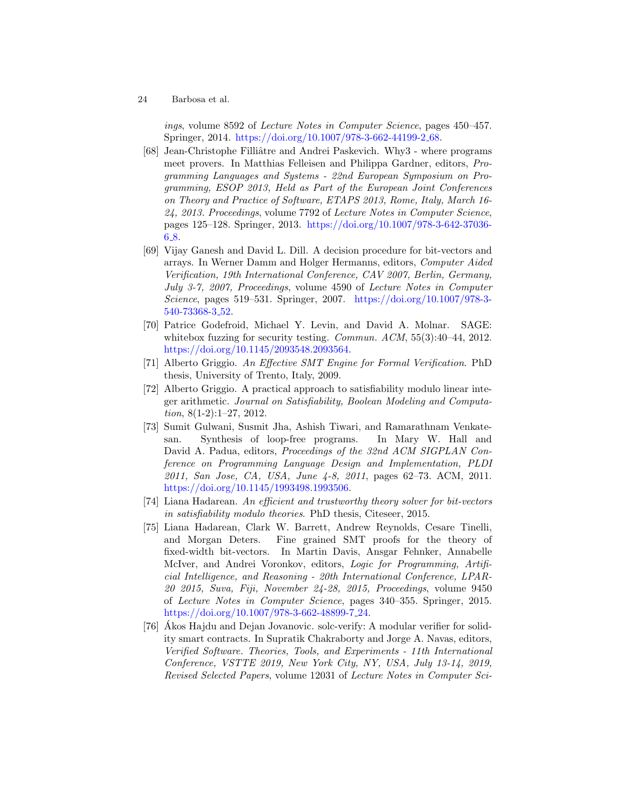ings, volume 8592 of Lecture Notes in Computer Science, pages 450–457. Springer, 2014. [https://doi.org/10.1007/978-3-662-44199-2](https://doi.org/10.1007/978-3-662-44199-2_68) 68.

- <span id="page-23-0"></span>[68] Jean-Christophe Filliâtre and Andrei Paskevich. Why3 - where programs meet provers. In Matthias Felleisen and Philippa Gardner, editors, Programming Languages and Systems - 22nd European Symposium on Programming, ESOP 2013, Held as Part of the European Joint Conferences on Theory and Practice of Software, ETAPS 2013, Rome, Italy, March 16- 24, 2013. Proceedings, volume 7792 of Lecture Notes in Computer Science, pages 125–128. Springer, 2013. [https://doi.org/10.1007/978-3-642-37036-](https://doi.org/10.1007/978-3-642-37036-6_8) 6.[8.](https://doi.org/10.1007/978-3-642-37036-6_8)
- <span id="page-23-4"></span>[69] Vijay Ganesh and David L. Dill. A decision procedure for bit-vectors and arrays. In Werner Damm and Holger Hermanns, editors, Computer Aided Verification, 19th International Conference, CAV 2007, Berlin, Germany, July 3-7, 2007, Proceedings, volume 4590 of Lecture Notes in Computer Science, pages 519–531. Springer, 2007. [https://doi.org/10.1007/978-3-](https://doi.org/10.1007/978-3-540-73368-3_52) [540-73368-3](https://doi.org/10.1007/978-3-540-73368-3_52) 52.
- <span id="page-23-2"></span>[70] Patrice Godefroid, Michael Y. Levin, and David A. Molnar. SAGE: whitebox fuzzing for security testing. *Commun. ACM*,  $55(3):40-44$ ,  $2012$ . [https://doi.org/10.1145/2093548.2093564.](https://doi.org/10.1145/2093548.2093564)
- <span id="page-23-5"></span>[71] Alberto Griggio. An Effective SMT Engine for Formal Verification. PhD thesis, University of Trento, Italy, 2009.
- <span id="page-23-6"></span>[72] Alberto Griggio. A practical approach to satisfiability modulo linear integer arithmetic. Journal on Satisfiability, Boolean Modeling and Computation,  $8(1-2)$ :1-27, 2012.
- <span id="page-23-3"></span>[73] Sumit Gulwani, Susmit Jha, Ashish Tiwari, and Ramarathnam Venkatesan. Synthesis of loop-free programs. In Mary W. Hall and David A. Padua, editors, *Proceedings of the 32nd ACM SIGPLAN Con*ference on Programming Language Design and Implementation, PLDI 2011, San Jose, CA, USA, June 4-8, 2011, pages 62–73. ACM, 2011. [https://doi.org/10.1145/1993498.1993506.](https://doi.org/10.1145/1993498.1993506)
- <span id="page-23-7"></span>[74] Liana Hadarean. An efficient and trustworthy theory solver for bit-vectors in satisfiability modulo theories. PhD thesis, Citeseer, 2015.
- <span id="page-23-8"></span>[75] Liana Hadarean, Clark W. Barrett, Andrew Reynolds, Cesare Tinelli, and Morgan Deters. Fine grained SMT proofs for the theory of fixed-width bit-vectors. In Martin Davis, Ansgar Fehnker, Annabelle McIver, and Andrei Voronkov, editors, Logic for Programming, Artificial Intelligence, and Reasoning - 20th International Conference, LPAR-20 2015, Suva, Fiji, November 24-28, 2015, Proceedings, volume 9450 of Lecture Notes in Computer Science, pages 340–355. Springer, 2015. [https://doi.org/10.1007/978-3-662-48899-7](https://doi.org/10.1007/978-3-662-48899-7_24) 24.
- <span id="page-23-1"></span>[76] Akos Hajdu and Dejan Jovanovic. solc-verify: A modular verifier for solid- ´ ity smart contracts. In Supratik Chakraborty and Jorge A. Navas, editors, Verified Software. Theories, Tools, and Experiments - 11th International Conference, VSTTE 2019, New York City, NY, USA, July 13-14, 2019, Revised Selected Papers, volume 12031 of Lecture Notes in Computer Sci-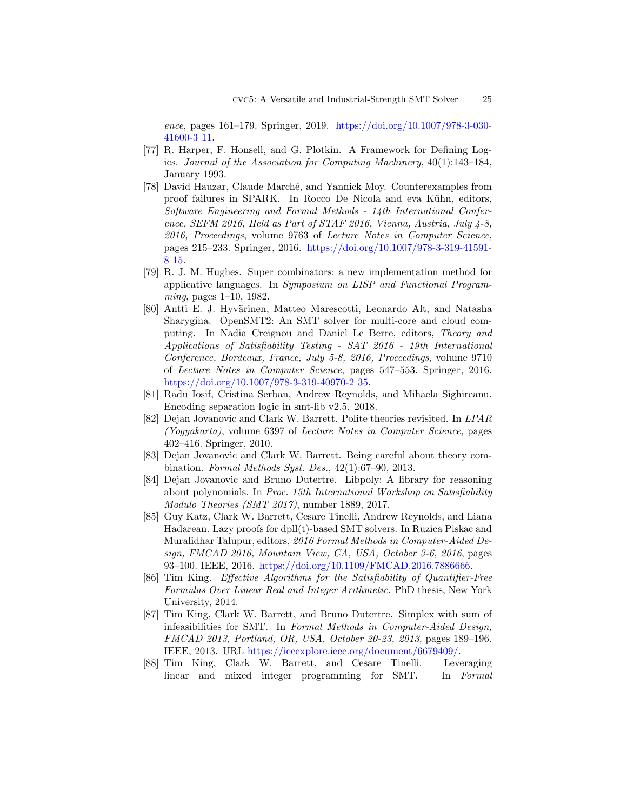ence, pages 161–179. Springer, 2019. [https://doi.org/10.1007/978-3-030-](https://doi.org/10.1007/978-3-030-41600-3_11) [41600-3](https://doi.org/10.1007/978-3-030-41600-3_11) 11.

- <span id="page-24-9"></span>[77] R. Harper, F. Honsell, and G. Plotkin. A Framework for Defining Logics. Journal of the Association for Computing Machinery, 40(1):143–184, January 1993.
- <span id="page-24-1"></span>[78] David Hauzar, Claude Marché, and Yannick Moy. Counterexamples from proof failures in SPARK. In Rocco De Nicola and eva Kühn, editors, Software Engineering and Formal Methods - 14th International Conference, SEFM 2016, Held as Part of STAF 2016, Vienna, Austria, July 4-8, 2016, Proceedings, volume 9763 of Lecture Notes in Computer Science, pages 215–233. Springer, 2016. [https://doi.org/10.1007/978-3-319-41591-](https://doi.org/10.1007/978-3-319-41591-8_15) 8.[15.](https://doi.org/10.1007/978-3-319-41591-8_15)
- <span id="page-24-11"></span>[79] R. J. M. Hughes. Super combinators: a new implementation method for applicative languages. In Symposium on LISP and Functional Programming, pages 1–10, 1982.
- <span id="page-24-0"></span>[80] Antti E. J. Hyvärinen, Matteo Marescotti, Leonardo Alt, and Natasha Sharygina. OpenSMT2: An SMT solver for multi-core and cloud computing. In Nadia Creignou and Daniel Le Berre, editors, Theory and Applications of Satisfiability Testing - SAT 2016 - 19th International Conference, Bordeaux, France, July 5-8, 2016, Proceedings, volume 9710 of Lecture Notes in Computer Science, pages 547–553. Springer, 2016. [https://doi.org/10.1007/978-3-319-40970-2](https://doi.org/10.1007/978-3-319-40970-2_35) 35.
- <span id="page-24-7"></span>[81] Radu Iosif, Cristina Serban, Andrew Reynolds, and Mihaela Sighireanu. Encoding separation logic in smt-lib v2.5. 2018.
- <span id="page-24-2"></span>[82] Dejan Jovanovic and Clark W. Barrett. Polite theories revisited. In LPAR (Yogyakarta), volume 6397 of Lecture Notes in Computer Science, pages 402–416. Springer, 2010.
- <span id="page-24-3"></span>[83] Dejan Jovanovic and Clark W. Barrett. Being careful about theory combination. Formal Methods Syst. Des., 42(1):67–90, 2013.
- <span id="page-24-10"></span>[84] Dejan Jovanovic and Bruno Dutertre. Libpoly: A library for reasoning about polynomials. In Proc. 15th International Workshop on Satisfiability Modulo Theories (SMT 2017), number 1889, 2017.
- <span id="page-24-8"></span>[85] Guy Katz, Clark W. Barrett, Cesare Tinelli, Andrew Reynolds, and Liana Hadarean. Lazy proofs for dpll(t)-based SMT solvers. In Ruzica Piskac and Muralidhar Talupur, editors, 2016 Formal Methods in Computer-Aided Design, FMCAD 2016, Mountain View, CA, USA, October 3-6, 2016, pages 93–100. IEEE, 2016. [https://doi.org/10.1109/FMCAD.2016.7886666.](https://doi.org/10.1109/FMCAD.2016.7886666)
- <span id="page-24-4"></span>[86] Tim King. Effective Algorithms for the Satisfiability of Quantifier-Free Formulas Over Linear Real and Integer Arithmetic. PhD thesis, New York University, 2014.
- <span id="page-24-5"></span>[87] Tim King, Clark W. Barrett, and Bruno Dutertre. Simplex with sum of infeasibilities for SMT. In Formal Methods in Computer-Aided Design, FMCAD 2013, Portland, OR, USA, October 20-23, 2013, pages 189–196. IEEE, 2013. URL [https://ieeexplore.ieee.org/document/6679409/.](https://ieeexplore.ieee.org/document/6679409/)
- <span id="page-24-6"></span>[88] Tim King, Clark W. Barrett, and Cesare Tinelli. Leveraging linear and mixed integer programming for SMT. In Formal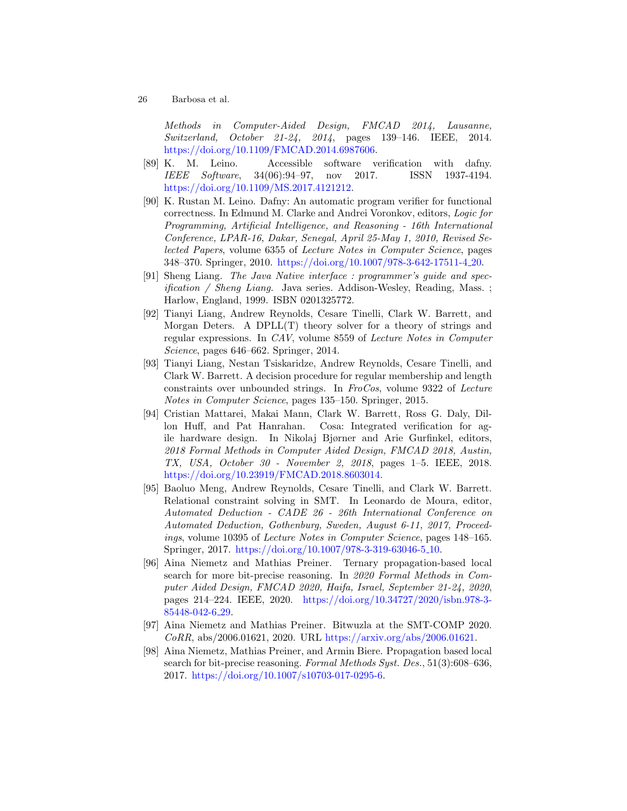Methods in Computer-Aided Design, FMCAD 2014, Lausanne, Switzerland, October 21-24, 2014, pages 139–146. IEEE, 2014. [https://doi.org/10.1109/FMCAD.2014.6987606.](https://doi.org/10.1109/FMCAD.2014.6987606)

- <span id="page-25-7"></span>[89] K. M. Leino. Accessible software verification with dafny. IEEE Software, 34(06):94–97, nov 2017. ISSN 1937-4194. [https://doi.org/10.1109/MS.2017.4121212.](https://doi.org/10.1109/MS.2017.4121212)
- <span id="page-25-0"></span>[90] K. Rustan M. Leino. Dafny: An automatic program verifier for functional correctness. In Edmund M. Clarke and Andrei Voronkov, editors, Logic for Programming, Artificial Intelligence, and Reasoning - 16th International Conference, LPAR-16, Dakar, Senegal, April 25-May 1, 2010, Revised Selected Papers, volume 6355 of Lecture Notes in Computer Science, pages 348–370. Springer, 2010. [https://doi.org/10.1007/978-3-642-17511-4](https://doi.org/10.1007/978-3-642-17511-4_20) 20.
- <span id="page-25-6"></span>[91] Sheng Liang. The Java Native interface : programmer's guide and specification / Sheng Liang. Java series. Addison-Wesley, Reading, Mass. ; Harlow, England, 1999. ISBN 0201325772.
- <span id="page-25-4"></span>[92] Tianyi Liang, Andrew Reynolds, Cesare Tinelli, Clark W. Barrett, and Morgan Deters. A DPLL(T) theory solver for a theory of strings and regular expressions. In CAV, volume 8559 of Lecture Notes in Computer Science, pages 646–662. Springer, 2014.
- <span id="page-25-5"></span>[93] Tianyi Liang, Nestan Tsiskaridze, Andrew Reynolds, Cesare Tinelli, and Clark W. Barrett. A decision procedure for regular membership and length constraints over unbounded strings. In FroCos, volume 9322 of Lecture Notes in Computer Science, pages 135–150. Springer, 2015.
- <span id="page-25-1"></span>[94] Cristian Mattarei, Makai Mann, Clark W. Barrett, Ross G. Daly, Dillon Huff, and Pat Hanrahan. Cosa: Integrated verification for agile hardware design. In Nikolaj Bjørner and Arie Gurfinkel, editors, 2018 Formal Methods in Computer Aided Design, FMCAD 2018, Austin, TX, USA, October 30 - November 2, 2018, pages 1–5. IEEE, 2018. [https://doi.org/10.23919/FMCAD.2018.8603014.](https://doi.org/10.23919/FMCAD.2018.8603014)
- <span id="page-25-3"></span>[95] Baoluo Meng, Andrew Reynolds, Cesare Tinelli, and Clark W. Barrett. Relational constraint solving in SMT. In Leonardo de Moura, editor, Automated Deduction - CADE 26 - 26th International Conference on Automated Deduction, Gothenburg, Sweden, August 6-11, 2017, Proceedings, volume 10395 of Lecture Notes in Computer Science, pages 148–165. Springer, 2017. [https://doi.org/10.1007/978-3-319-63046-5](https://doi.org/10.1007/978-3-319-63046-5_10) 10.
- <span id="page-25-8"></span>[96] Aina Niemetz and Mathias Preiner. Ternary propagation-based local search for more bit-precise reasoning. In 2020 Formal Methods in Computer Aided Design, FMCAD 2020, Haifa, Israel, September 21-24, 2020, pages 214–224. IEEE, 2020. [https://doi.org/10.34727/2020/isbn.978-3-](https://doi.org/10.34727/2020/isbn.978-3-85448-042-6_29) [85448-042-6](https://doi.org/10.34727/2020/isbn.978-3-85448-042-6_29) 29.
- <span id="page-25-2"></span>[97] Aina Niemetz and Mathias Preiner. Bitwuzla at the SMT-COMP 2020. CoRR, abs/2006.01621, 2020. URL [https://arxiv.org/abs/2006.01621.](https://arxiv.org/abs/2006.01621)
- <span id="page-25-9"></span>[98] Aina Niemetz, Mathias Preiner, and Armin Biere. Propagation based local search for bit-precise reasoning. Formal Methods Syst. Des., 51(3):608–636, 2017. [https://doi.org/10.1007/s10703-017-0295-6.](https://doi.org/10.1007/s10703-017-0295-6)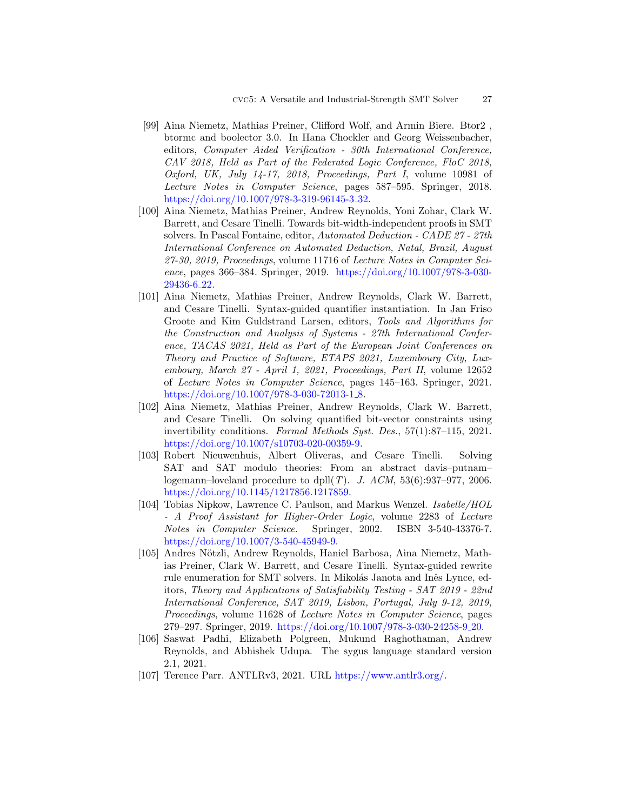- <span id="page-26-0"></span>[99] Aina Niemetz, Mathias Preiner, Clifford Wolf, and Armin Biere. Btor2 , btormc and boolector 3.0. In Hana Chockler and Georg Weissenbacher, editors, Computer Aided Verification - 30th International Conference, CAV 2018, Held as Part of the Federated Logic Conference, FloC 2018, Oxford, UK, July 14-17, 2018, Proceedings, Part I, volume 10981 of Lecture Notes in Computer Science, pages 587–595. Springer, 2018. [https://doi.org/10.1007/978-3-319-96145-3](https://doi.org/10.1007/978-3-319-96145-3_32) 32.
- <span id="page-26-7"></span>[100] Aina Niemetz, Mathias Preiner, Andrew Reynolds, Yoni Zohar, Clark W. Barrett, and Cesare Tinelli. Towards bit-width-independent proofs in SMT solvers. In Pascal Fontaine, editor, Automated Deduction - CADE 27 - 27th International Conference on Automated Deduction, Natal, Brazil, August 27-30, 2019, Proceedings, volume 11716 of Lecture Notes in Computer Science, pages 366–384. Springer, 2019. [https://doi.org/10.1007/978-3-030-](https://doi.org/10.1007/978-3-030-29436-6_22) [29436-6](https://doi.org/10.1007/978-3-030-29436-6_22) 22.
- <span id="page-26-1"></span>[101] Aina Niemetz, Mathias Preiner, Andrew Reynolds, Clark W. Barrett, and Cesare Tinelli. Syntax-guided quantifier instantiation. In Jan Friso Groote and Kim Guldstrand Larsen, editors, Tools and Algorithms for the Construction and Analysis of Systems - 27th International Conference, TACAS 2021, Held as Part of the European Joint Conferences on Theory and Practice of Software, ETAPS 2021, Luxembourg City, Luxembourg, March 27 - April 1, 2021, Proceedings, Part II, volume 12652 of Lecture Notes in Computer Science, pages 145–163. Springer, 2021. [https://doi.org/10.1007/978-3-030-72013-1](https://doi.org/10.1007/978-3-030-72013-1_8) 8.
- <span id="page-26-5"></span>[102] Aina Niemetz, Mathias Preiner, Andrew Reynolds, Clark W. Barrett, and Cesare Tinelli. On solving quantified bit-vector constraints using invertibility conditions. Formal Methods Syst. Des., 57(1):87–115, 2021. [https://doi.org/10.1007/s10703-020-00359-9.](https://doi.org/10.1007/s10703-020-00359-9)
- <span id="page-26-2"></span>[103] Robert Nieuwenhuis, Albert Oliveras, and Cesare Tinelli. Solving SAT and SAT modulo theories: From an abstract davis–putnam– logemann–loveland procedure to dpll(T). J.  $ACM$ , 53(6):937–977, 2006. [https://doi.org/10.1145/1217856.1217859.](https://doi.org/10.1145/1217856.1217859)
- <span id="page-26-6"></span>[104] Tobias Nipkow, Lawrence C. Paulson, and Markus Wenzel. Isabelle/HOL - A Proof Assistant for Higher-Order Logic, volume 2283 of Lecture Notes in Computer Science. Springer, 2002. ISBN 3-540-43376-7. [https://doi.org/10.1007/3-540-45949-9.](https://doi.org/10.1007/3-540-45949-9)
- <span id="page-26-4"></span>[105] Andres Nötzli, Andrew Reynolds, Haniel Barbosa, Aina Niemetz, Mathias Preiner, Clark W. Barrett, and Cesare Tinelli. Syntax-guided rewrite rule enumeration for SMT solvers. In Mikolás Janota and Inês Lynce, editors, Theory and Applications of Satisfiability Testing - SAT 2019 - 22nd International Conference, SAT 2019, Lisbon, Portugal, July 9-12, 2019, Proceedings, volume 11628 of Lecture Notes in Computer Science, pages 279–297. Springer, 2019. [https://doi.org/10.1007/978-3-030-24258-9](https://doi.org/10.1007/978-3-030-24258-9_20) 20.
- <span id="page-26-3"></span>[106] Saswat Padhi, Elizabeth Polgreen, Mukund Raghothaman, Andrew Reynolds, and Abhishek Udupa. The sygus language standard version 2.1, 2021.
- <span id="page-26-8"></span>[107] Terence Parr. ANTLRv3, 2021. URL [https://www.antlr3.org/.](https://www.antlr3.org/)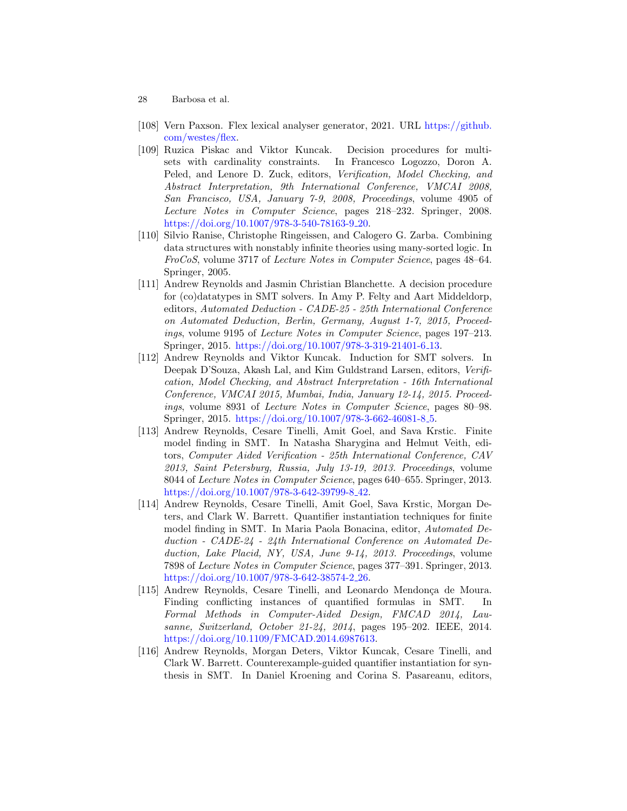- 28 Barbosa et al.
- <span id="page-27-8"></span>[108] Vern Paxson. Flex lexical analyser generator, 2021. URL [https://github.](https://github.com/westes/flex) [com/westes/flex.](https://github.com/westes/flex)
- <span id="page-27-7"></span>[109] Ruzica Piskac and Viktor Kuncak. Decision procedures for multisets with cardinality constraints. In Francesco Logozzo, Doron A. Peled, and Lenore D. Zuck, editors, Verification, Model Checking, and Abstract Interpretation, 9th International Conference, VMCAI 2008, San Francisco, USA, January 7-9, 2008, Proceedings, volume 4905 of Lecture Notes in Computer Science, pages 218–232. Springer, 2008. [https://doi.org/10.1007/978-3-540-78163-9](https://doi.org/10.1007/978-3-540-78163-9_20)<sub>-20</sub>.
- <span id="page-27-1"></span>[110] Silvio Ranise, Christophe Ringeissen, and Calogero G. Zarba. Combining data structures with nonstably infinite theories using many-sorted logic. In FroCoS, volume 3717 of Lecture Notes in Computer Science, pages 48–64. Springer, 2005.
- <span id="page-27-2"></span>[111] Andrew Reynolds and Jasmin Christian Blanchette. A decision procedure for (co)datatypes in SMT solvers. In Amy P. Felty and Aart Middeldorp, editors, Automated Deduction - CADE-25 - 25th International Conference on Automated Deduction, Berlin, Germany, August 1-7, 2015, Proceedings, volume 9195 of Lecture Notes in Computer Science, pages 197–213. Springer, 2015. [https://doi.org/10.1007/978-3-319-21401-6](https://doi.org/10.1007/978-3-319-21401-6_13) 13.
- <span id="page-27-6"></span>[112] Andrew Reynolds and Viktor Kuncak. Induction for SMT solvers. In Deepak D'Souza, Akash Lal, and Kim Guldstrand Larsen, editors, Verification, Model Checking, and Abstract Interpretation - 16th International Conference, VMCAI 2015, Mumbai, India, January 12-14, 2015. Proceedings, volume 8931 of Lecture Notes in Computer Science, pages 80–98. Springer, 2015. [https://doi.org/10.1007/978-3-662-46081-8](https://doi.org/10.1007/978-3-662-46081-8_5) 5.
- <span id="page-27-3"></span>[113] Andrew Reynolds, Cesare Tinelli, Amit Goel, and Sava Krstic. Finite model finding in SMT. In Natasha Sharygina and Helmut Veith, editors, Computer Aided Verification - 25th International Conference, CAV 2013, Saint Petersburg, Russia, July 13-19, 2013. Proceedings, volume 8044 of Lecture Notes in Computer Science, pages 640–655. Springer, 2013. [https://doi.org/10.1007/978-3-642-39799-8](https://doi.org/10.1007/978-3-642-39799-8_42) 42.
- <span id="page-27-5"></span>[114] Andrew Reynolds, Cesare Tinelli, Amit Goel, Sava Krstic, Morgan Deters, and Clark W. Barrett. Quantifier instantiation techniques for finite model finding in SMT. In Maria Paola Bonacina, editor, Automated Deduction - CADE-24 - 24th International Conference on Automated Deduction, Lake Placid, NY, USA, June 9-14, 2013. Proceedings, volume 7898 of Lecture Notes in Computer Science, pages 377–391. Springer, 2013. [https://doi.org/10.1007/978-3-642-38574-2](https://doi.org/10.1007/978-3-642-38574-2_26) 26.
- <span id="page-27-4"></span>[115] Andrew Reynolds, Cesare Tinelli, and Leonardo Mendonça de Moura. Finding conflicting instances of quantified formulas in SMT. In Formal Methods in Computer-Aided Design, FMCAD 2014, Lausanne, Switzerland, October 21-24, 2014, pages 195–202. IEEE, 2014. [https://doi.org/10.1109/FMCAD.2014.6987613.](https://doi.org/10.1109/FMCAD.2014.6987613)
- <span id="page-27-0"></span>[116] Andrew Reynolds, Morgan Deters, Viktor Kuncak, Cesare Tinelli, and Clark W. Barrett. Counterexample-guided quantifier instantiation for synthesis in SMT. In Daniel Kroening and Corina S. Pasareanu, editors,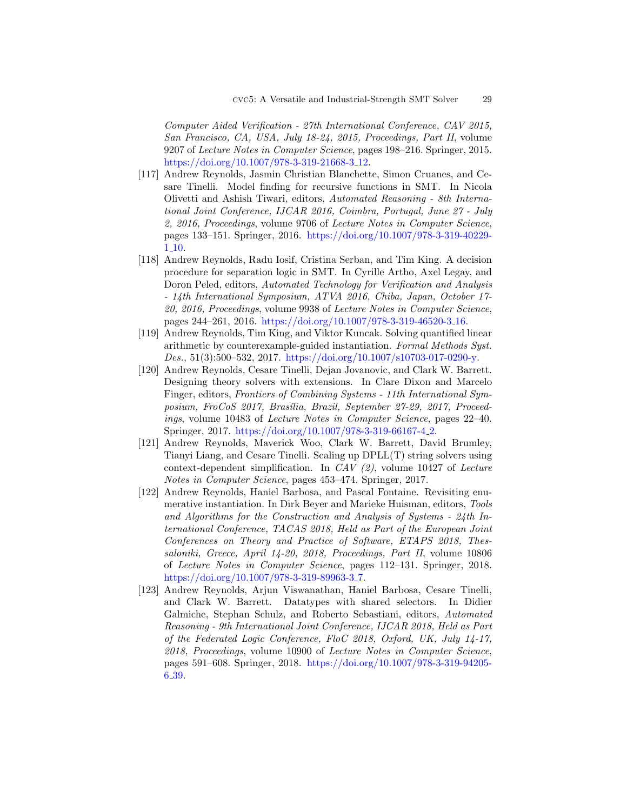Computer Aided Verification - 27th International Conference, CAV 2015, San Francisco, CA, USA, July 18-24, 2015, Proceedings, Part II, volume 9207 of Lecture Notes in Computer Science, pages 198–216. Springer, 2015. [https://doi.org/10.1007/978-3-319-21668-3](https://doi.org/10.1007/978-3-319-21668-3_12) 12.

- <span id="page-28-6"></span>[117] Andrew Reynolds, Jasmin Christian Blanchette, Simon Cruanes, and Cesare Tinelli. Model finding for recursive functions in SMT. In Nicola Olivetti and Ashish Tiwari, editors, Automated Reasoning - 8th International Joint Conference, IJCAR 2016, Coimbra, Portugal, June 27 - July 2, 2016, Proceedings, volume 9706 of Lecture Notes in Computer Science, pages 133–151. Springer, 2016. [https://doi.org/10.1007/978-3-319-40229-](https://doi.org/10.1007/978-3-319-40229-1_10) 1 [10.](https://doi.org/10.1007/978-3-319-40229-1_10)
- <span id="page-28-3"></span>[118] Andrew Reynolds, Radu Iosif, Cristina Serban, and Tim King. A decision procedure for separation logic in SMT. In Cyrille Artho, Axel Legay, and Doron Peled, editors, Automated Technology for Verification and Analysis - 14th International Symposium, ATVA 2016, Chiba, Japan, October 17- 20, 2016, Proceedings, volume 9938 of Lecture Notes in Computer Science, pages 244–261, 2016. [https://doi.org/10.1007/978-3-319-46520-3](https://doi.org/10.1007/978-3-319-46520-3_16) 16.
- <span id="page-28-0"></span>[119] Andrew Reynolds, Tim King, and Viktor Kuncak. Solving quantified linear arithmetic by counterexample-guided instantiation. Formal Methods Syst. Des., 51(3):500–532, 2017. [https://doi.org/10.1007/s10703-017-0290-y.](https://doi.org/10.1007/s10703-017-0290-y)
- <span id="page-28-1"></span>[120] Andrew Reynolds, Cesare Tinelli, Dejan Jovanovic, and Clark W. Barrett. Designing theory solvers with extensions. In Clare Dixon and Marcelo Finger, editors, Frontiers of Combining Systems - 11th International Symposium, FroCoS 2017, Brasília, Brazil, September 27-29, 2017, Proceedings, volume 10483 of Lecture Notes in Computer Science, pages 22–40. Springer, 2017. [https://doi.org/10.1007/978-3-319-66167-4](https://doi.org/10.1007/978-3-319-66167-4_2) 2.
- <span id="page-28-4"></span>[121] Andrew Reynolds, Maverick Woo, Clark W. Barrett, David Brumley, Tianyi Liang, and Cesare Tinelli. Scaling up DPLL(T) string solvers using context-dependent simplification. In CAV (2), volume 10427 of Lecture Notes in Computer Science, pages 453–474. Springer, 2017.
- <span id="page-28-5"></span>[122] Andrew Reynolds, Haniel Barbosa, and Pascal Fontaine. Revisiting enumerative instantiation. In Dirk Beyer and Marieke Huisman, editors, Tools and Algorithms for the Construction and Analysis of Systems - 24th International Conference, TACAS 2018, Held as Part of the European Joint Conferences on Theory and Practice of Software, ETAPS 2018, Thessaloniki, Greece, April 14-20, 2018, Proceedings, Part II, volume 10806 of Lecture Notes in Computer Science, pages 112–131. Springer, 2018. [https://doi.org/10.1007/978-3-319-89963-3](https://doi.org/10.1007/978-3-319-89963-3_7)<sub>-7</sub>.
- <span id="page-28-2"></span>[123] Andrew Reynolds, Arjun Viswanathan, Haniel Barbosa, Cesare Tinelli, and Clark W. Barrett. Datatypes with shared selectors. In Didier Galmiche, Stephan Schulz, and Roberto Sebastiani, editors, Automated Reasoning - 9th International Joint Conference, IJCAR 2018, Held as Part of the Federated Logic Conference, FloC 2018, Oxford, UK, July 14-17, 2018, Proceedings, volume 10900 of Lecture Notes in Computer Science, pages 591–608. Springer, 2018. [https://doi.org/10.1007/978-3-319-94205-](https://doi.org/10.1007/978-3-319-94205-6_39) 6.[39.](https://doi.org/10.1007/978-3-319-94205-6_39)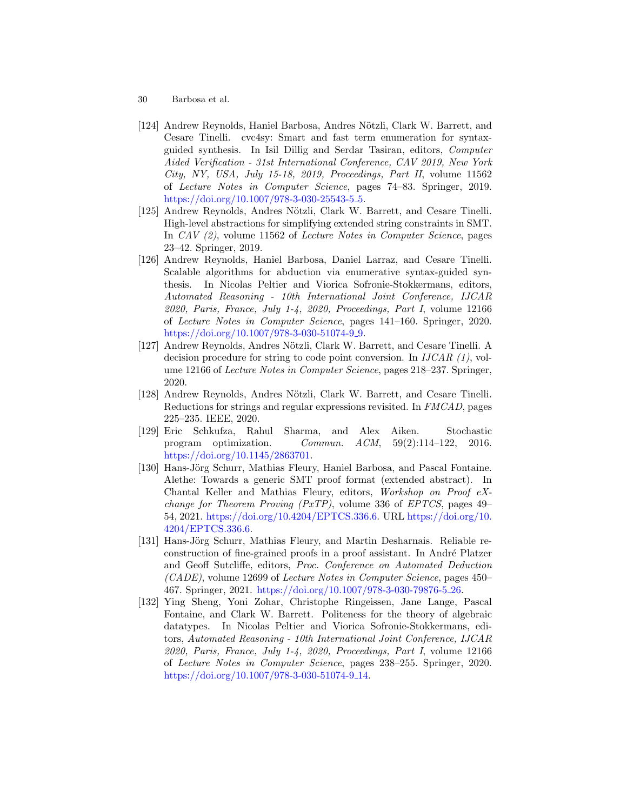- 30 Barbosa et al.
- <span id="page-29-8"></span>[124] Andrew Reynolds, Haniel Barbosa, Andres Nötzli, Clark W. Barrett, and Cesare Tinelli. cvc4sy: Smart and fast term enumeration for syntaxguided synthesis. In Isil Dillig and Serdar Tasiran, editors, Computer Aided Verification - 31st International Conference, CAV 2019, New York City, NY, USA, July 15-18, 2019, Proceedings, Part II, volume 11562 of Lecture Notes in Computer Science, pages 74–83. Springer, 2019. [https://doi.org/10.1007/978-3-030-25543-5](https://doi.org/10.1007/978-3-030-25543-5_5)<sub>-5</sub>.
- <span id="page-29-5"></span>[125] Andrew Reynolds, Andres Nötzli, Clark W. Barrett, and Cesare Tinelli. High-level abstractions for simplifying extended string constraints in SMT. In CAV (2), volume 11562 of Lecture Notes in Computer Science, pages 23–42. Springer, 2019.
- <span id="page-29-1"></span>[126] Andrew Reynolds, Haniel Barbosa, Daniel Larraz, and Cesare Tinelli. Scalable algorithms for abduction via enumerative syntax-guided synthesis. In Nicolas Peltier and Viorica Sofronie-Stokkermans, editors, Automated Reasoning - 10th International Joint Conference, IJCAR 2020, Paris, France, July 1-4, 2020, Proceedings, Part I, volume 12166 of Lecture Notes in Computer Science, pages 141–160. Springer, 2020. [https://doi.org/10.1007/978-3-030-51074-9](https://doi.org/10.1007/978-3-030-51074-9_9)<sub>-9</sub>.
- <span id="page-29-4"></span>[127] Andrew Reynolds, Andres Nötzli, Clark W. Barrett, and Cesare Tinelli. A decision procedure for string to code point conversion. In IJCAR (1), volume 12166 of Lecture Notes in Computer Science, pages 218–237. Springer, 2020.
- <span id="page-29-6"></span>[128] Andrew Reynolds, Andres Nötzli, Clark W. Barrett, and Cesare Tinelli. Reductions for strings and regular expressions revisited. In FMCAD, pages 225–235. IEEE, 2020.
- <span id="page-29-0"></span>[129] Eric Schkufza, Rahul Sharma, and Alex Aiken. Stochastic program optimization. Commun. ACM, 59(2):114–122, 2016. [https://doi.org/10.1145/2863701.](https://doi.org/10.1145/2863701)
- <span id="page-29-2"></span>[130] Hans-Jörg Schurr, Mathias Fleury, Haniel Barbosa, and Pascal Fontaine. Alethe: Towards a generic SMT proof format (extended abstract). In Chantal Keller and Mathias Fleury, editors, Workshop on Proof eXchange for Theorem Proving (PxTP), volume 336 of EPTCS, pages 49– 54, 2021. [https://doi.org/10.4204/EPTCS.336.6.](https://doi.org/10.4204/EPTCS.336.6) URL [https://doi.org/10.](https://doi.org/10.4204/EPTCS.336.6) [4204/EPTCS.336.6.](https://doi.org/10.4204/EPTCS.336.6)
- <span id="page-29-7"></span>[131] Hans-Jörg Schurr, Mathias Fleury, and Martin Desharnais. Reliable reconstruction of fine-grained proofs in a proof assistant. In André Platzer and Geoff Sutcliffe, editors, Proc. Conference on Automated Deduction (CADE), volume 12699 of Lecture Notes in Computer Science, pages 450– 467. Springer, 2021. [https://doi.org/10.1007/978-3-030-79876-5](https://doi.org/10.1007/978-3-030-79876-5_26) 26.
- <span id="page-29-3"></span>[132] Ying Sheng, Yoni Zohar, Christophe Ringeissen, Jane Lange, Pascal Fontaine, and Clark W. Barrett. Politeness for the theory of algebraic datatypes. In Nicolas Peltier and Viorica Sofronie-Stokkermans, editors, Automated Reasoning - 10th International Joint Conference, IJCAR 2020, Paris, France, July 1-4, 2020, Proceedings, Part I, volume 12166 of Lecture Notes in Computer Science, pages 238–255. Springer, 2020. [https://doi.org/10.1007/978-3-030-51074-9](https://doi.org/10.1007/978-3-030-51074-9_14)<sub>-14</sub>.